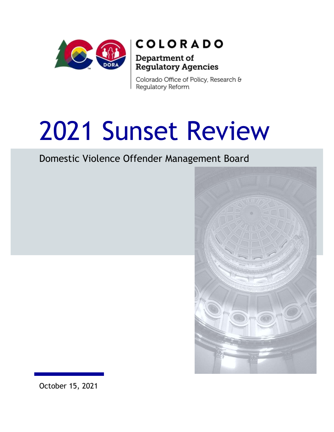

## **COLORADO**

### Department of Regulatory Agencies

Colorado Office of Policy, Research & Regulatory Reform

# 2021 Sunset Review

Domestic Violence Offender Management Board



October 15, 2021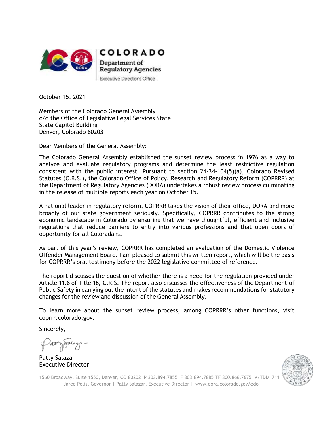



Department of **Regulatory Agencies** Executive Director's Office

October 15, 2021

Members of the Colorado General Assembly c/o the Office of Legislative Legal Services State State Capitol Building Denver, Colorado 80203

Dear Members of the General Assembly:

The Colorado General Assembly established the sunset review process in 1976 as a way to analyze and evaluate regulatory programs and determine the least restrictive regulation consistent with the public interest. Pursuant to section  $24-34-104(5)(a)$ , Colorado Revised Statutes (C.R.S.), the Colorado Office of Policy, Research and Regulatory Reform (COPRRR) at the Department of Regulatory Agencies (DORA) undertakes a robust review process culminating in the release of multiple reports each year on October 15.

A national leader in regulatory reform, COPRRR takes the vision of their office, DORA and more broadly of our state government seriously. Specifically, COPRRR contributes to the strong economic landscape in Colorado by ensuring that we have thoughtful, efficient and inclusive regulations that reduce barriers to entry into various professions and that open doors of opportunity for all Coloradans.

As part of this year's review, COPRRR has completed an evaluation of the Domestic Violence Offender Management Board. I am pleased to submit this written report, which will be the basis for COPRRR's oral testimony before the 2022 legislative committee of reference.

The report discusses the question of whether there is a need for the regulation provided under Article 11.8 of Title 16, C.R.S. The report also discusses the effectiveness of the Department of Public Safety in carrying out the intent of the statutes and makes recommendations for statutory changes for the review and discussion of the General Assembly.

To learn more about the sunset review process, among COPRRR's other functions, visit coprrr.colorado.gov.

Sincerely,

Patty Salazar Executive Director



1560 Broadway, Suite 1550, Denver, CO 80202 P 303.894.7855 F 303.894.7885 TF 800.866.7675 V/TDD 711 Jared Polis, Governor | Patty Salazar, Executive Director | [www.dora.colorado.gov/edo](http://www.dora.colorado.gov/edo)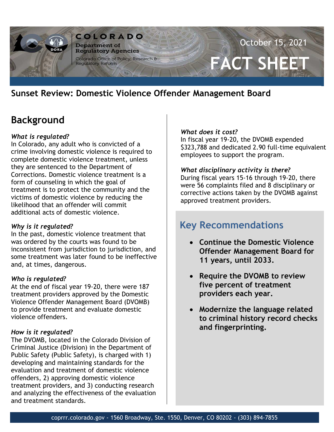

## **Sunset Review: Domestic Violence Offender Management Board**

## **Background**

#### *What is regulated?*

In Colorado, any adult who is convicted of a crime involving domestic violence is required to complete domestic violence treatment, unless they are sentenced to the Department of Corrections. Domestic violence treatment is a form of counseling in which the goal of treatment is to protect the community and the victims of domestic violence by reducing the likelihood that an offender will commit additional acts of domestic violence.

#### *Why is it regulated?*

In the past, domestic violence treatment that was ordered by the courts was found to be inconsistent from jurisdiction to jurisdiction, and some treatment was later found to be ineffective and, at times, dangerous.

#### *Who is regulated?*

At the end of fiscal year 19-20, there were 187 treatment providers approved by the Domestic Violence Offender Management Board (DVOMB) to provide treatment and evaluate domestic violence offenders.

#### *How is it regulated?*

The DVOMB, located in the Colorado Division of Criminal Justice (Division) in the Department of Public Safety (Public Safety), is charged with 1) developing and maintaining standards for the evaluation and treatment of domestic violence offenders, 2) approving domestic violence treatment providers, and 3) conducting research and analyzing the effectiveness of the evaluation and treatment standards.

#### *What does it cost?*

In fiscal year 19-20, the DVOMB expended \$323,788 and dedicated 2.90 full-time equivalent employees to support the program.

#### *What disciplinary activity is there?*

During fiscal years 15-16 through 19-20, there were 56 complaints filed and 8 disciplinary or corrective actions taken by the DVOMB against approved treatment providers.

## **Key Recommendations**

- **Continue the Domestic Violence Offender Management Board for 11 years, until 2033.**
- **Require the DVOMB to review five percent of treatment providers each year.**
- **Modernize the language related to criminal history record checks and fingerprinting.**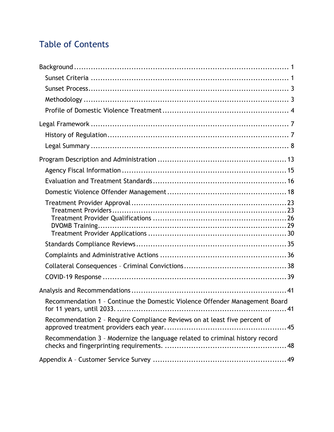## Table of Contents

| Recommendation 1 - Continue the Domestic Violence Offender Management Board  |
|------------------------------------------------------------------------------|
| Recommendation 2 - Require Compliance Reviews on at least five percent of    |
| Recommendation 3 - Modernize the language related to criminal history record |
|                                                                              |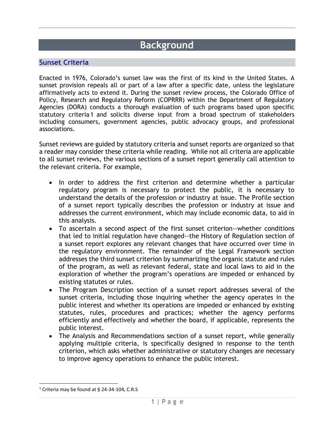## **Background**

#### **Sunset Criteria**

Enacted in 1976, Colorado's sunset law was the first of its kind in the United States. A sunset provision repeals all or part of a law after a specific date, unless the legislature affirmatively acts to extend it. During the sunset review process, the Colorado Office of Policy, Research and Regulatory Reform (COPRRR) within the Department of Regulatory Agencies (DORA) conducts a thorough evaluation of such programs based upon specific statutory criteria 1 and solicits diverse input from a broad spectrum of stakeholders including consumers, government agencies, public advocacy groups, and professional associations.

Sunset reviews are guided by statutory criteria and sunset reports are organized so that a reader may consider these criteria while reading. While not all criteria are applicable to all sunset reviews, the various sections of a sunset report generally call attention to the relevant criteria. For example,

- In order to address the first criterion and determine whether a particular regulatory program is necessary to protect the public, it is necessary to understand the details of the profession or industry at issue. The Profile section of a sunset report typically describes the profession or industry at issue and addresses the current environment, which may include economic data, to aid in this analysis.
- To ascertain a second aspect of the first sunset criterion--whether conditions that led to initial regulation have changed--the History of Regulation section of a sunset report explores any relevant changes that have occurred over time in the regulatory environment. The remainder of the Legal Framework section addresses the third sunset criterion by summarizing the organic statute and rules of the program, as well as relevant federal, state and local laws to aid in the exploration of whether the program's operations are impeded or enhanced by existing statutes or rules.
- The Program Description section of a sunset report addresses several of the sunset criteria, including those inquiring whether the agency operates in the public interest and whether its operations are impeded or enhanced by existing statutes, rules, procedures and practices; whether the agency performs efficiently and effectively and whether the board, if applicable, represents the public interest.
- The Analysis and Recommendations section of a sunset report, while generally applying multiple criteria, is specifically designed in response to the tenth criterion, which asks whether administrative or statutory changes are necessary to improve agency operations to enhance the public interest.

<sup>1</sup> Criteria may be found at § 24-34-104, C.R.S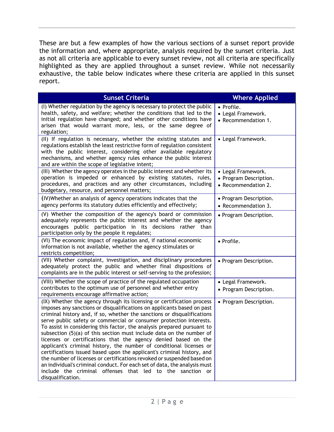These are but a few examples of how the various sections of a sunset report provide the information and, where appropriate, analysis required by the sunset criteria. Just as not all criteria are applicable to every sunset review, not all criteria are specifically highlighted as they are applied throughout a sunset review. While not necessarily exhaustive, the table below indicates where these criteria are applied in this sunset report.

| <b>Sunset Criteria</b>                                                                                                                                                                                                                                                                                                                                                                                                                                                                                                                                                                                                                                                                                                                                                                                                                                                                                            | <b>Where Applied</b>                                                |
|-------------------------------------------------------------------------------------------------------------------------------------------------------------------------------------------------------------------------------------------------------------------------------------------------------------------------------------------------------------------------------------------------------------------------------------------------------------------------------------------------------------------------------------------------------------------------------------------------------------------------------------------------------------------------------------------------------------------------------------------------------------------------------------------------------------------------------------------------------------------------------------------------------------------|---------------------------------------------------------------------|
| (I) Whether regulation by the agency is necessary to protect the public<br>health, safety, and welfare; whether the conditions that led to the<br>initial regulation have changed; and whether other conditions have<br>arisen that would warrant more, less, or the same degree of<br>regulation;                                                                                                                                                                                                                                                                                                                                                                                                                                                                                                                                                                                                                | • Profile.<br>• Legal Framework.<br>• Recommendation 1.             |
| (II) If regulation is necessary, whether the existing statutes and<br>regulations establish the least restrictive form of regulation consistent<br>with the public interest, considering other available regulatory<br>mechanisms, and whether agency rules enhance the public interest<br>and are within the scope of legislative intent;                                                                                                                                                                                                                                                                                                                                                                                                                                                                                                                                                                        | • Legal Framework.                                                  |
| (III) Whether the agency operates in the public interest and whether its<br>operation is impeded or enhanced by existing statutes, rules,<br>procedures, and practices and any other circumstances, including<br>budgetary, resource, and personnel matters;                                                                                                                                                                                                                                                                                                                                                                                                                                                                                                                                                                                                                                                      | • Legal Framework.<br>• Program Description.<br>• Recommendation 2. |
| (IV) Whether an analysis of agency operations indicates that the<br>agency performs its statutory duties efficiently and effectively;                                                                                                                                                                                                                                                                                                                                                                                                                                                                                                                                                                                                                                                                                                                                                                             | • Program Description.<br>• Recommendation 3.                       |
| (V) Whether the composition of the agency's board or commission<br>adequately represents the public interest and whether the agency<br>encourages public participation in its decisions rather than<br>participation only by the people it regulates;                                                                                                                                                                                                                                                                                                                                                                                                                                                                                                                                                                                                                                                             | • Program Description.                                              |
| (VI) The economic impact of regulation and, if national economic<br>information is not available, whether the agency stimulates or<br>restricts competition;                                                                                                                                                                                                                                                                                                                                                                                                                                                                                                                                                                                                                                                                                                                                                      | · Profile.                                                          |
| (VII) Whether complaint, investigation, and disciplinary procedures<br>adequately protect the public and whether final dispositions of<br>complaints are in the public interest or self-serving to the profession;                                                                                                                                                                                                                                                                                                                                                                                                                                                                                                                                                                                                                                                                                                | • Program Description.                                              |
| (VIII) Whether the scope of practice of the regulated occupation<br>contributes to the optimum use of personnel and whether entry<br>requirements encourage affirmative action;                                                                                                                                                                                                                                                                                                                                                                                                                                                                                                                                                                                                                                                                                                                                   | • Legal Framework.<br>• Program Description.                        |
| (IX) Whether the agency through its licensing or certification process<br>imposes any sanctions or disqualifications on applicants based on past<br>criminal history and, if so, whether the sanctions or disqualifications<br>serve public safety or commercial or consumer protection interests.<br>To assist in considering this factor, the analysis prepared pursuant to<br>subsection (5)(a) of this section must include data on the number of<br>licenses or certifications that the agency denied based on the<br>applicant's criminal history, the number of conditional licenses or<br>certifications issued based upon the applicant's criminal history, and<br>the number of licenses or certifications revoked or suspended based on<br>an individual's criminal conduct. For each set of data, the analysis must<br>include the criminal offenses that led to the sanction or<br>disqualification. | • Program Description.                                              |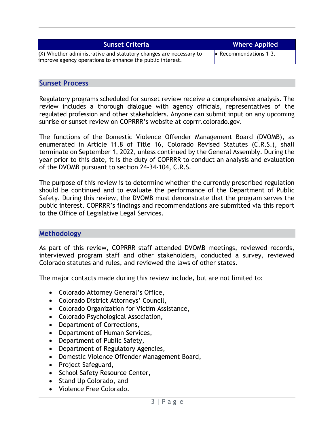| <b>Sunset Criteria</b>                                                                                                           | <b>Where Applied</b>           |
|----------------------------------------------------------------------------------------------------------------------------------|--------------------------------|
| $(X)$ Whether administrative and statutory changes are necessary to<br>improve agency operations to enhance the public interest. | $\bullet$ Recommendations 1-3. |

#### **Sunset Process**

Regulatory programs scheduled for sunset review receive a comprehensive analysis. The review includes a thorough dialogue with agency officials, representatives of the regulated profession and other stakeholders. Anyone can submit input on any upcoming sunrise or sunset review on COPRRR's website at coprrr.colorado.gov.

The functions of the Domestic Violence Offender Management Board (DVOMB), as enumerated in Article 11.8 of Title 16, Colorado Revised Statutes (C.R.S.), shall terminate on September 1, 2022, unless continued by the General Assembly. During the year prior to this date, it is the duty of COPRRR to conduct an analysis and evaluation of the DVOMB pursuant to section 24-34-104, C.R.S.

The purpose of this review is to determine whether the currently prescribed regulation should be continued and to evaluate the performance of the Department of Public Safety. During this review, the DVOMB must demonstrate that the program serves the public interest. COPRRR's findings and recommendations are submitted via this report to the Office of Legislative Legal Services.

#### **Methodology**

As part of this review, COPRRR staff attended DVOMB meetings, reviewed records, interviewed program staff and other stakeholders, conducted a survey, reviewed Colorado statutes and rules, and reviewed the laws of other states.

The major contacts made during this review include, but are not limited to:

- Colorado Attorney General's Office,
- Colorado District Attorneys' Council,
- Colorado Organization for Victim Assistance,
- Colorado Psychological Association,
- Department of Corrections,
- Department of Human Services,
- Department of Public Safety,
- Department of Regulatory Agencies,
- Domestic Violence Offender Management Board,
- Project Safeguard,
- School Safety Resource Center,
- Stand Up Colorado, and
- Violence Free Colorado.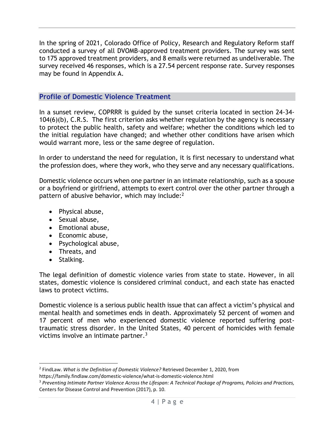In the spring of 2021, Colorado Office of Policy, Research and Regulatory Reform staff conducted a survey of all DVOMB-approved treatment providers. The survey was sent to 175 approved treatment providers, and 8 emails were returned as undeliverable. The survey received 46 responses, which is a 27.54 percent response rate. Survey responses may be found in Appendix A.

#### **Profile of Domestic Violence Treatment**

In a sunset review, COPRRR is guided by the sunset criteria located in section 24-34- 104(6)(b), C.R.S. The first criterion asks whether regulation by the agency is necessary to protect the public health, safety and welfare; whether the conditions which led to the initial regulation have changed; and whether other conditions have arisen which would warrant more, less or the same degree of regulation.

In order to understand the need for regulation, it is first necessary to understand what the profession does, where they work, who they serve and any necessary qualifications.

Domestic violence occurs when one partner in an intimate relationship, such as a spouse or a boyfriend or girlfriend, attempts to exert control over the other partner through a pattern of abusive behavior, which may include:<sup>2</sup>

- Physical abuse,
- Sexual abuse,
- Emotional abuse,
- Economic abuse,
- Psychological abuse,
- Threats, and
- Stalking.

The legal definition of domestic violence varies from state to state. However, in all states, domestic violence is considered criminal conduct, and each state has enacted laws to protect victims.

Domestic violence is a serious public health issue that can affect a victim's physical and mental health and sometimes ends in death. Approximately 52 percent of women and 17 percent of men who experienced domestic violence reported suffering posttraumatic stress disorder. In the United States, 40 percent of homicides with female victims involve an intimate partner.<sup>3</sup>

<sup>2</sup> FindLaw. *What is the Definition of Domestic Violence?* Retrieved December 1, 2020, from https://family.findlaw.com/domestic-violence/what-is-domestic-violence.html

<sup>3</sup> *Preventing Intimate Partner Violence Across the Lifespan: A Technical Package of Programs, Policies and Practices,*  Centers for Disease Control and Prevention (2017), p. 10.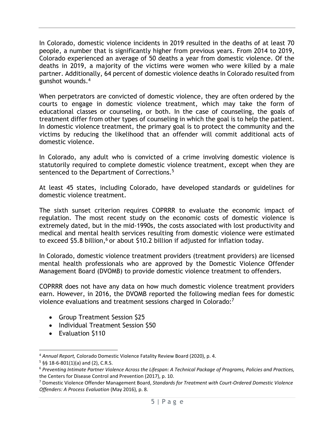In Colorado, domestic violence incidents in 2019 resulted in the deaths of at least 70 people, a number that is significantly higher from previous years. From 2014 to 2019, Colorado experienced an average of 50 deaths a year from domestic violence. Of the deaths in 2019, a majority of the victims were women who were killed by a male partner. Additionally, 64 percent of domestic violence deaths in Colorado resulted from gunshot wounds.<sup>4</sup>

When perpetrators are convicted of domestic violence, they are often ordered by the courts to engage in domestic violence treatment, which may take the form of educational classes or counseling, or both. In the case of counseling, the goals of treatment differ from other types of counseling in which the goal is to help the patient. In domestic violence treatment, the primary goal is to protect the community and the victims by reducing the likelihood that an offender will commit additional acts of domestic violence.

In Colorado, any adult who is convicted of a crime involving domestic violence is statutorily required to complete domestic violence treatment, except when they are sentenced to the Department of Corrections.<sup>5</sup>

At least 45 states, including Colorado, have developed standards or guidelines for domestic violence treatment.

The sixth sunset criterion requires COPRRR to evaluate the economic impact of regulation. The most recent study on the economic costs of domestic violence is extremely dated, but in the mid-1990s, the costs associated with lost productivity and medical and mental health services resulting from domestic violence were estimated to exceed \$5.8 billion,<sup>6</sup> or about \$10.2 billion if adjusted for inflation today.

In Colorado, domestic violence treatment providers (treatment providers) are licensed mental health professionals who are approved by the Domestic Violence Offender Management Board (DVOMB) to provide domestic violence treatment to offenders.

COPRRR does not have any data on how much domestic violence treatment providers earn. However, in 2016, the DVOMB reported the following median fees for domestic violence evaluations and treatment sessions charged in Colorado:<sup>7</sup>

- Group Treatment Session \$25
- Individual Treatment Session \$50
- Evaluation \$110

<sup>4</sup> *Annual Report,* Colorado Domestic Violence Fatality Review Board (2020), p. 4.

 $5$  §§ 18-6-801(1)(a) and (2), C.R.S.

<sup>6</sup> *Preventing Intimate Partner Violence Across the Lifespan: A Technical Package of Programs, Policies and Practices,*  the Centers for Disease Control and Prevention (2017), p. 10.

<sup>7</sup> Domestic Violence Offender Management Board, *Standards for Treatment with Court-Ordered Domestic Violence Offenders: A Process Evaluation* (May 2016), p. 8.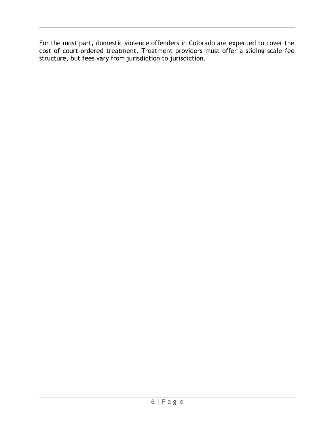For the most part, domestic violence offenders in Colorado are expected to cover the cost of court-ordered treatment. Treatment providers must offer a sliding scale fee structure, but fees vary from jurisdiction to jurisdiction.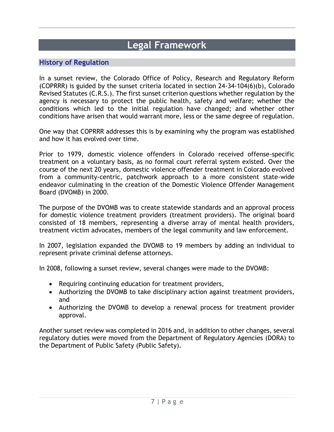## **Legal Framework**

#### **History of Regulation**

In a sunset review, the Colorado Office of Policy, Research and Regulatory Reform (COPRRR) is guided by the sunset criteria located in section 24-34-104(6)(b), Colorado Revised Statutes (C.R.S.). The first sunset criterion questions whether regulation by the agency is necessary to protect the public health, safety and welfare; whether the conditions which led to the initial regulation have changed; and whether other conditions have arisen that would warrant more, less or the same degree of regulation.

One way that COPRRR addresses this is by examining why the program was established and how it has evolved over time.

Prior to 1979, domestic violence offenders in Colorado received offense-specific treatment on a voluntary basis, as no formal court referral system existed. Over the course of the next 20 years, domestic violence offender treatment in Colorado evolved from a community-centric, patchwork approach to a more consistent state-wide endeavor culminating in the creation of the Domestic Violence Offender Management Board (DVOMB) in 2000.

The purpose of the DVOMB was to create statewide standards and an approval process for domestic violence treatment providers (treatment providers). The original board consisted of 18 members, representing a diverse array of mental health providers, treatment victim advocates, members of the legal community and law enforcement.

In 2007, legislation expanded the DVOMB to 19 members by adding an individual to represent private criminal defense attorneys.

In 2008, following a sunset review, several changes were made to the DVOMB:

- Requiring continuing education for treatment providers,
- Authorizing the DVOMB to take disciplinary action against treatment providers, and
- Authorizing the DVOMB to develop a renewal process for treatment provider approval.

Another sunset review was completed in 2016 and, in addition to other changes, several regulatory duties were moved from the Department of Regulatory Agencies (DORA) to the Department of Public Safety (Public Safety).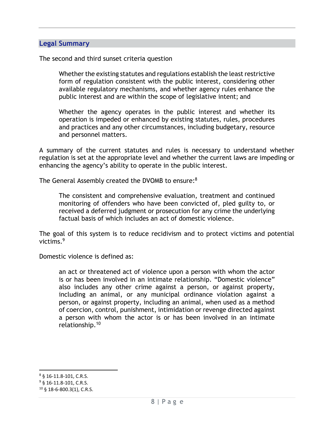#### **Legal Summary**

The second and third sunset criteria question

Whether the existing statutes and regulations establish the least restrictive form of regulation consistent with the public interest, considering other available regulatory mechanisms, and whether agency rules enhance the public interest and are within the scope of legislative intent; and

Whether the agency operates in the public interest and whether its operation is impeded or enhanced by existing statutes, rules, procedures and practices and any other circumstances, including budgetary, resource and personnel matters.

A summary of the current statutes and rules is necessary to understand whether regulation is set at the appropriate level and whether the current laws are impeding or enhancing the agency's ability to operate in the public interest.

The General Assembly created the DVOMB to ensure:<sup>8</sup>

The consistent and comprehensive evaluation, treatment and continued monitoring of offenders who have been convicted of, pled guilty to, or received a deferred judgment or prosecution for any crime the underlying factual basis of which includes an act of domestic violence.

The goal of this system is to reduce recidivism and to protect victims and potential victims.<sup>9</sup>

Domestic violence is defined as:

an act or threatened act of violence upon a person with whom the actor is or has been involved in an intimate relationship. "Domestic violence" also includes any other crime against a person, or against property, including an animal, or any municipal ordinance violation against a person, or against property, including an animal, when used as a method of coercion, control, punishment, intimidation or revenge directed against a person with whom the actor is or has been involved in an intimate relationship.<sup>10</sup>

<sup>8</sup> § 16-11.8-101, C.R.S.

<sup>&</sup>lt;sup>9</sup> § 16-11.8-101, C.R.S.

<sup>10</sup> § 18-6-800.3(1), C.R.S.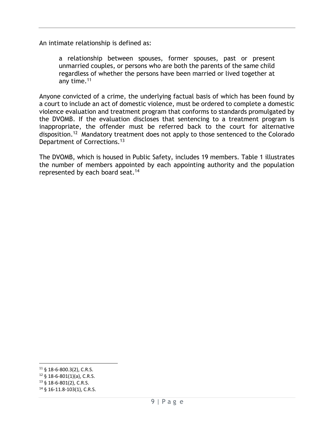An intimate relationship is defined as:

a relationship between spouses, former spouses, past or present unmarried couples, or persons who are both the parents of the same child regardless of whether the persons have been married or lived together at any time.<sup>11</sup>

Anyone convicted of a crime, the underlying factual basis of which has been found by a court to include an act of domestic violence, must be ordered to complete a domestic violence evaluation and treatment program that conforms to standards promulgated by the DVOMB. If the evaluation discloses that sentencing to a treatment program is inappropriate, the offender must be referred back to the court for alternative disposition.<sup>12</sup> Mandatory treatment does not apply to those sentenced to the Colorado Department of Corrections.<sup>13</sup>

The DVOMB, which is housed in Public Safety, includes 19 members. Table 1 illustrates the number of members appointed by each appointing authority and the population represented by each board seat.<sup>14</sup>

<sup>11</sup> § 18-6-800.3(2), C.R.S.

 $12 \S$  18-6-801(1)(a), C.R.S.

<sup>13</sup> § 18-6-801(2), C.R.S.

<sup>14</sup> § 16-11.8-103(1), C.R.S.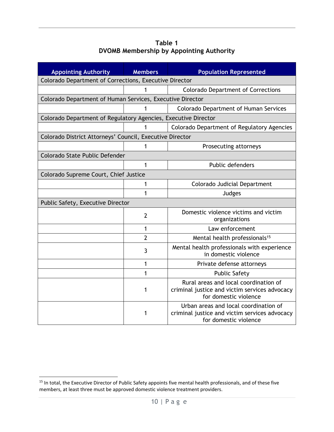**Table 1 DVOMB Membership by Appointing Authority**

| <b>Appointing Authority</b>                                    | <b>Members</b> | <b>Population Represented</b>                                                                                   |  |  |
|----------------------------------------------------------------|----------------|-----------------------------------------------------------------------------------------------------------------|--|--|
| Colorado Department of Corrections, Executive Director         |                |                                                                                                                 |  |  |
|                                                                | 1              | <b>Colorado Department of Corrections</b>                                                                       |  |  |
| Colorado Department of Human Services, Executive Director      |                |                                                                                                                 |  |  |
|                                                                | 1              | <b>Colorado Department of Human Services</b>                                                                    |  |  |
| Colorado Department of Regulatory Agencies, Executive Director |                |                                                                                                                 |  |  |
|                                                                | 1              | Colorado Department of Regulatory Agencies                                                                      |  |  |
| Colorado District Attorneys' Council, Executive Director       |                |                                                                                                                 |  |  |
|                                                                | 1              | Prosecuting attorneys                                                                                           |  |  |
| Colorado State Public Defender                                 |                |                                                                                                                 |  |  |
|                                                                | 1              | Public defenders                                                                                                |  |  |
| Colorado Supreme Court, Chief Justice                          |                |                                                                                                                 |  |  |
|                                                                | 1              | Colorado Judicial Department                                                                                    |  |  |
|                                                                | 1              | Judges                                                                                                          |  |  |
| Public Safety, Executive Director                              |                |                                                                                                                 |  |  |
|                                                                | $\overline{2}$ | Domestic violence victims and victim<br>organizations                                                           |  |  |
|                                                                | 1              | Law enforcement                                                                                                 |  |  |
|                                                                | $\overline{2}$ | Mental health professionals <sup>15</sup>                                                                       |  |  |
|                                                                | 3              | Mental health professionals with experience<br>in domestic violence                                             |  |  |
|                                                                | 1              | Private defense attorneys                                                                                       |  |  |
|                                                                | 1              | <b>Public Safety</b>                                                                                            |  |  |
|                                                                | 1              | Rural areas and local coordination of<br>criminal justice and victim services advocacy<br>for domestic violence |  |  |
|                                                                | 1              | Urban areas and local coordination of<br>criminal justice and victim services advocacy<br>for domestic violence |  |  |

<sup>&</sup>lt;sup>15</sup> In total, the Executive Director of Public Safety appoints five mental health professionals, and of these five members, at least three must be approved domestic violence treatment providers.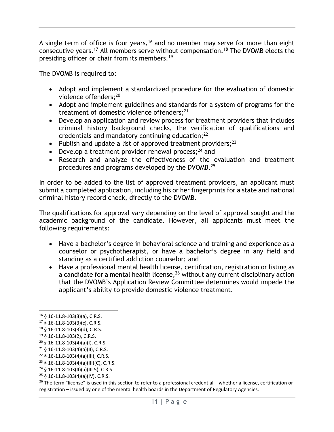A single term of office is four years,<sup>16</sup> and no member may serve for more than eight consecutive years.<sup>17</sup> All members serve without compensation.<sup>18</sup> The DVOMB elects the presiding officer or chair from its members. 19

The DVOMB is required to:

- Adopt and implement a standardized procedure for the evaluation of domestic violence offenders;<sup>20</sup>
- Adopt and implement guidelines and standards for a system of programs for the treatment of domestic violence offenders;<sup>21</sup>
- Develop an application and review process for treatment providers that includes criminal history background checks, the verification of qualifications and credentials and mandatory continuing education;<sup>22</sup>
- Publish and update a list of approved treatment providers;  $2^3$
- Develop a treatment provider renewal process;  $24$  and
- Research and analyze the effectiveness of the evaluation and treatment procedures and programs developed by the DVOMB.<sup>25</sup>

In order to be added to the list of approved treatment providers, an applicant must submit a completed application, including his or her fingerprints for a state and national criminal history record check, directly to the DVOMB.

The qualifications for approval vary depending on the level of approval sought and the academic background of the candidate. However, all applicants must meet the following requirements:

- Have a bachelor's degree in behavioral science and training and experience as a counselor or psychotherapist, or have a bachelor's degree in any field and standing as a certified addiction counselor; and
- Have a professional mental health license, certification, registration or listing as a candidate for a mental health license,<sup>26</sup> without any current disciplinary action that the DVOMB's Application Review Committee determines would impede the applicant's ability to provide domestic violence treatment.

 $23 \S$  16-11.8-103(4)(a)(III)(C), C.R.S.

<sup>16</sup> § 16-11.8-103(3)(a), C.R.S.

 $17 \S 16 - 11.8 - 103(3)(c)$ , C.R.S.

<sup>18</sup> § 16-11.8-103(3)(d), C.R.S.

<sup>19</sup> § 16-11.8-103(2), C.R.S.

<sup>20</sup> § 16-11.8-103(4)(a)(I), C.R.S.

 $21 \S$  16-11.8-103(4)(a)(II), C.R.S.

<sup>22</sup> § 16-11.8-103(4)(a)(III), C.R.S.

<sup>24</sup> § 16-11.8-103(4)(a)(III.5), C.R.S.

<sup>25</sup> § 16-11.8-103(4)(a)(IV), C.R.S.

 $26$  The term "license" is used in this section to refer to a professional credential – whether a license, certification or registration – issued by one of the mental health boards in the Department of Regulatory Agencies.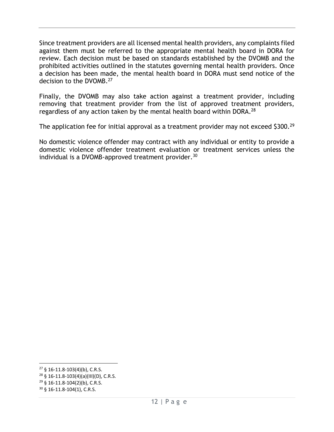Since treatment providers are all licensed mental health providers, any complaints filed against them must be referred to the appropriate mental health board in DORA for review. Each decision must be based on standards established by the DVOMB and the prohibited activities outlined in the statutes governing mental health providers. Once a decision has been made, the mental health board in DORA must send notice of the decision to the DVOMB.<sup>27</sup>

Finally, the DVOMB may also take action against a treatment provider, including removing that treatment provider from the list of approved treatment providers, regardless of any action taken by the mental health board within DORA.<sup>28</sup>

The application fee for initial approval as a treatment provider may not exceed \$300.<sup>29</sup>

No domestic violence offender may contract with any individual or entity to provide a domestic violence offender treatment evaluation or treatment services unless the individual is a DVOMB-approved treatment provider.<sup>30</sup>

<sup>27</sup> § 16-11.8-103(4)(b), C.R.S.

<sup>28</sup> § 16-11.8-103(4)(a)(III)(D), C.R.S.

<sup>29</sup> § 16-11.8-104(2)(b), C.R.S.

<sup>30</sup> § 16-11.8-104(1), C.R.S.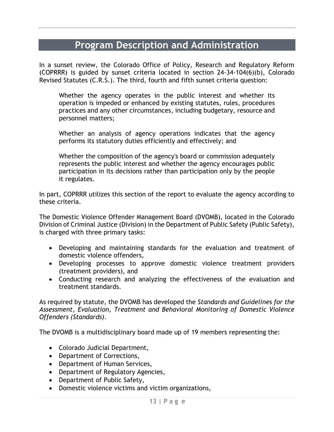## **Program Description and Administration**

In a sunset review, the Colorado Office of Policy, Research and Regulatory Reform (COPRRR) is guided by sunset criteria located in section 24-34-104(6)(b), Colorado Revised Statutes (C.R.S.). The third, fourth and fifth sunset criteria question:

Whether the agency operates in the public interest and whether its operation is impeded or enhanced by existing statutes, rules, procedures practices and any other circumstances, including budgetary, resource and personnel matters;

Whether an analysis of agency operations indicates that the agency performs its statutory duties efficiently and effectively; and

Whether the composition of the agency's board or commission adequately represents the public interest and whether the agency encourages public participation in its decisions rather than participation only by the people it regulates.

In part, COPRRR utilizes this section of the report to evaluate the agency according to these criteria.

The Domestic Violence Offender Management Board (DVOMB), located in the Colorado Division of Criminal Justice (Division) in the Department of Public Safety (Public Safety), is charged with three primary tasks:

- Developing and maintaining standards for the evaluation and treatment of domestic violence offenders,
- Developing processes to approve domestic violence treatment providers (treatment providers), and
- Conducting research and analyzing the effectiveness of the evaluation and treatment standards.

As required by statute, the DVOMB has developed the *Standards and Guidelines for the Assessment, Evaluation, Treatment and Behavioral Monitoring of Domestic Violence Offenders (Standards)*.

The DVOMB is a multidisciplinary board made up of 19 members representing the:

- Colorado Judicial Department,
- Department of Corrections,
- Department of Human Services,
- Department of Regulatory Agencies,
- Department of Public Safety,
- Domestic violence victims and victim organizations,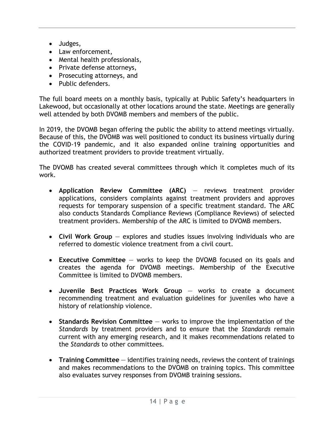- Judges,
- Law enforcement,
- Mental health professionals,
- Private defense attorneys,
- Prosecuting attorneys, and
- Public defenders.

The full board meets on a monthly basis, typically at Public Safety's headquarters in Lakewood, but occasionally at other locations around the state. Meetings are generally well attended by both DVOMB members and members of the public.

In 2019, the DVOMB began offering the public the ability to attend meetings virtually. Because of this, the DVOMB was well positioned to conduct its business virtually during the COVID-19 pandemic, and it also expanded online training opportunities and authorized treatment providers to provide treatment virtually.

The DVOMB has created several committees through which it completes much of its work.

- **Application Review Committee (ARC)** reviews treatment provider applications, considers complaints against treatment providers and approves requests for temporary suspension of a specific treatment standard. The ARC also conducts Standards Compliance Reviews (Compliance Reviews) of selected treatment providers. Membership of the ARC is limited to DVOMB members.
- **Civil Work Group** explores and studies issues involving individuals who are referred to domestic violence treatment from a civil court.
- **Executive Committee** works to keep the DVOMB focused on its goals and creates the agenda for DVOMB meetings. Membership of the Executive Committee is limited to DVOMB members.
- **Juvenile Best Practices Work Group** works to create a document recommending treatment and evaluation guidelines for juveniles who have a history of relationship violence.
- **Standards Revision Committee** works to improve the implementation of the *Standards* by treatment providers and to ensure that the *Standards* remain current with any emerging research, and it makes recommendations related to the *Standards* to other committees.
- **Training Committee** identifies training needs, reviews the content of trainings and makes recommendations to the DVOMB on training topics. This committee also evaluates survey responses from DVOMB training sessions.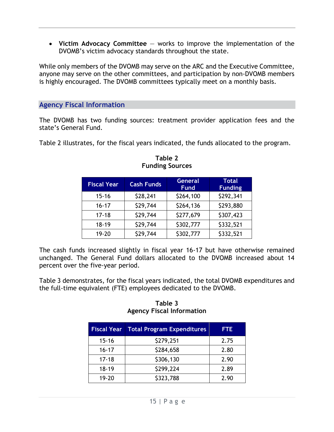• **Victim Advocacy Committee** — works to improve the implementation of the DVOMB's victim advocacy standards throughout the state.

While only members of the DVOMB may serve on the ARC and the Executive Committee, anyone may serve on the other committees, and participation by non-DVOMB members is highly encouraged. The DVOMB committees typically meet on a monthly basis.

#### **Agency Fiscal Information**

The DVOMB has two funding sources: treatment provider application fees and the state's General Fund.

Table 2 illustrates, for the fiscal years indicated, the funds allocated to the program.

| <b>Fiscal Year</b> | <b>Cash Funds</b> | <b>General</b><br><b>Fund</b> | <b>Total</b><br><b>Funding</b> |
|--------------------|-------------------|-------------------------------|--------------------------------|
| $15 - 16$          | \$28,241          | \$264,100                     | \$292,341                      |
| $16 - 17$          | \$29,744          | \$264,136                     | \$293,880                      |
| $17 - 18$          | \$29,744          | \$277,679                     | \$307,423                      |
| $18 - 19$          | \$29,744          | \$302,777                     | \$332,521                      |
| 19-20              | \$29,744          | \$302,777                     | \$332,521                      |

**Table 2 Funding Sources**

The cash funds increased slightly in fiscal year 16-17 but have otherwise remained unchanged. The General Fund dollars allocated to the DVOMB increased about 14 percent over the five-year period.

Table 3 demonstrates, for the fiscal years indicated, the total DVOMB expenditures and the full-time equivalent (FTE) employees dedicated to the DVOMB.

#### **Table 3 Agency Fiscal Information**

| <b>Fiscal Year</b> | <b>Total Program Expenditures</b> | <b>FTE</b> |
|--------------------|-----------------------------------|------------|
| $15 - 16$          | \$279,251                         | 2.75       |
| $16 - 17$          | \$284,658                         | 2.80       |
| $17 - 18$          | \$306,130                         | 2.90       |
| $18 - 19$          | \$299,224                         | 2.89       |
| 19-20              | \$323,788                         | 2.90       |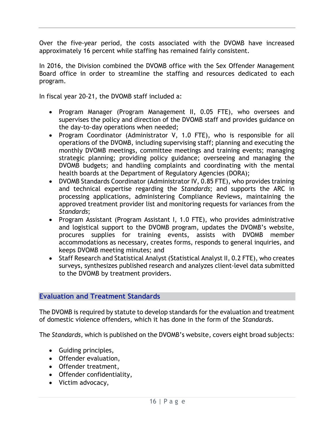Over the five-year period, the costs associated with the DVOMB have increased approximately 16 percent while staffing has remained fairly consistent.

In 2016, the Division combined the DVOMB office with the Sex Offender Management Board office in order to streamline the staffing and resources dedicated to each program.

In fiscal year 20-21, the DVOMB staff included a:

- Program Manager (Program Management II, 0.05 FTE), who oversees and supervises the policy and direction of the DVOMB staff and provides guidance on the day-to-day operations when needed;
- Program Coordinator (Administrator V, 1.0 FTE), who is responsible for all operations of the DVOMB, including supervising staff; planning and executing the monthly DVOMB meetings, committee meetings and training events; managing strategic planning; providing policy guidance; overseeing and managing the DVOMB budgets; and handling complaints and coordinating with the mental health boards at the Department of Regulatory Agencies (DORA);
- DVOMB Standards Coordinator (Administrator IV, 0.85 FTE), who provides training and technical expertise regarding the *Standards*; and supports the ARC in processing applications, administering Compliance Reviews, maintaining the approved treatment provider list and monitoring requests for variances from the *Standards*;
- Program Assistant (Program Assistant I, 1.0 FTE), who provides administrative and logistical support to the DVOMB program, updates the DVOMB's website, procures supplies for training events, assists with DVOMB member accommodations as necessary, creates forms, responds to general inquiries, and keeps DVOMB meeting minutes; and
- Staff Research and Statistical Analyst (Statistical Analyst II, 0.2 FTE), who creates surveys, synthesizes published research and analyzes client-level data submitted to the DVOMB by treatment providers.

#### **Evaluation and Treatment Standards**

The DVOMB is required by statute to develop standards for the evaluation and treatment of domestic violence offenders, which it has done in the form of the *Standards*.

The *Standards,* which is published on the DVOMB's website*,* covers eight broad subjects:

- Guiding principles,
- Offender evaluation,
- Offender treatment,
- Offender confidentiality,
- Victim advocacy,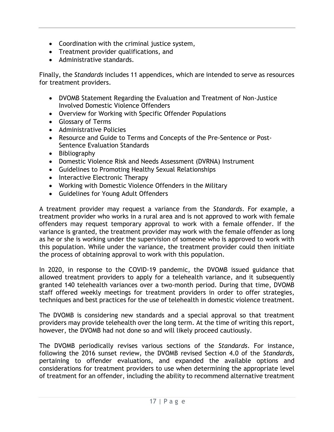- Coordination with the criminal justice system,
- Treatment provider qualifications, and
- Administrative standards.

Finally, the *Standards* includes 11 appendices, which are intended to serve as resources for treatment providers.

- DVOMB Statement Regarding the Evaluation and Treatment of Non-Justice Involved Domestic Violence Offenders
- Overview for Working with Specific Offender Populations
- Glossary of Terms
- Administrative Policies
- Resource and Guide to Terms and Concepts of the Pre-Sentence or Post-Sentence Evaluation Standards
- Bibliography
- Domestic Violence Risk and Needs Assessment (DVRNA) Instrument
- Guidelines to Promoting Healthy Sexual Relationships
- Interactive Electronic Therapy
- Working with Domestic Violence Offenders in the Military
- Guidelines for Young Adult Offenders

A treatment provider may request a variance from the *Standards*. For example, a treatment provider who works in a rural area and is not approved to work with female offenders may request temporary approval to work with a female offender. If the variance is granted, the treatment provider may work with the female offender as long as he or she is working under the supervision of someone who is approved to work with this population. While under the variance, the treatment provider could then initiate the process of obtaining approval to work with this population.

In 2020, in response to the COVID-19 pandemic, the DVOMB issued guidance that allowed treatment providers to apply for a telehealth variance, and it subsequently granted 140 telehealth variances over a two-month period. During that time, DVOMB staff offered weekly meetings for treatment providers in order to offer strategies, techniques and best practices for the use of telehealth in domestic violence treatment.

The DVOMB is considering new standards and a special approval so that treatment providers may provide telehealth over the long term. At the time of writing this report, however, the DVOMB had not done so and will likely proceed cautiously.

The DVOMB periodically revises various sections of the *Standards*. For instance, following the 2016 sunset review, the DVOMB revised Section 4.0 of the *Standards,* pertaining to offender evaluations, and expanded the available options and considerations for treatment providers to use when determining the appropriate level of treatment for an offender, including the ability to recommend alternative treatment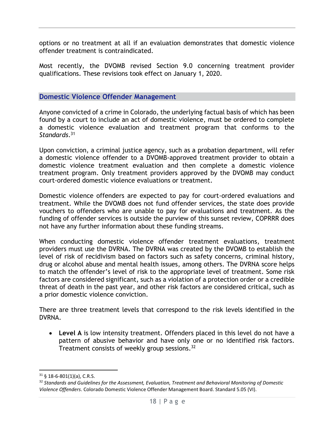options or no treatment at all if an evaluation demonstrates that domestic violence offender treatment is contraindicated.

Most recently, the DVOMB revised Section 9.0 concerning treatment provider qualifications. These revisions took effect on January 1, 2020.

#### **Domestic Violence Offender Management**

Anyone convicted of a crime in Colorado, the underlying factual basis of which has been found by a court to include an act of domestic violence, must be ordered to complete a domestic violence evaluation and treatment program that conforms to the *Standards*. 31

Upon conviction, a criminal justice agency, such as a probation department, will refer a domestic violence offender to a DVOMB-approved treatment provider to obtain a domestic violence treatment evaluation and then complete a domestic violence treatment program. Only treatment providers approved by the DVOMB may conduct court-ordered domestic violence evaluations or treatment.

Domestic violence offenders are expected to pay for court-ordered evaluations and treatment. While the DVOMB does not fund offender services, the state does provide vouchers to offenders who are unable to pay for evaluations and treatment. As the funding of offender services is outside the purview of this sunset review, COPRRR does not have any further information about these funding streams.

When conducting domestic violence offender treatment evaluations, treatment providers must use the DVRNA. The DVRNA was created by the DVOMB to establish the level of risk of recidivism based on factors such as safety concerns, criminal history, drug or alcohol abuse and mental health issues, among others. The DVRNA score helps to match the offender's level of risk to the appropriate level of treatment. Some risk factors are considered significant, such as a violation of a protection order or a credible threat of death in the past year, and other risk factors are considered critical, such as a prior domestic violence conviction.

There are three treatment levels that correspond to the risk levels identified in the DVRNA.

• **Level A** is low intensity treatment. Offenders placed in this level do not have a pattern of abusive behavior and have only one or no identified risk factors. Treatment consists of weekly group sessions.<sup>32</sup>

 $31\,$  § 18-6-801(1)(a), C.R.S.

<sup>32</sup> *Standards and Guidelines for the Assessment, Evaluation, Treatment and Behavioral Monitoring of Domestic Violence Offenders*. Colorado Domestic Violence Offender Management Board. Standard 5.05 (VI).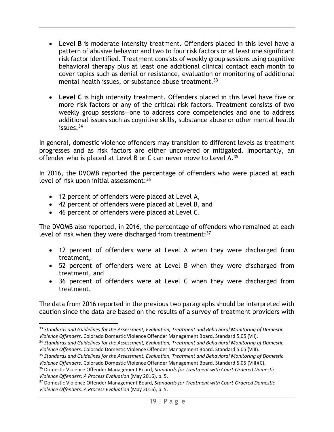- **Level B** is moderate intensity treatment. Offenders placed in this level have a pattern of abusive behavior and two to four risk factors or at least one significant risk factor identified. Treatment consists of weekly group sessions using cognitive behavioral therapy plus at least one additional clinical contact each month to cover topics such as denial or resistance, evaluation or monitoring of additional mental health issues, or substance abuse treatment.<sup>33</sup>
- **Level C** is high intensity treatment. Offenders placed in this level have five or more risk factors or any of the critical risk factors. Treatment consists of two weekly group sessions—one to address core competencies and one to address additional issues such as cognitive skills, substance abuse or other mental health issues. $34$

In general, domestic violence offenders may transition to different levels as treatment progresses and as risk factors are either uncovered or mitigated. Importantly, an offender who is placed at Level B or C can never move to Level A.<sup>35</sup>

In 2016, the DVOMB reported the percentage of offenders who were placed at each level of risk upon initial assessment: 36

- 12 percent of offenders were placed at Level A,
- 42 percent of offenders were placed at Level B, and
- 46 percent of offenders were placed at Level C.

The DVOMB also reported, in 2016, the percentage of offenders who remained at each level of risk when they were discharged from treatment:<sup>37</sup>

- 12 percent of offenders were at Level A when they were discharged from treatment,
- 52 percent of offenders were at Level B when they were discharged from treatment, and
- 36 percent of offenders were at Level C when they were discharged from treatment.

The data from 2016 reported in the previous two paragraphs should be interpreted with caution since the data are based on the results of a survey of treatment providers with

<sup>33</sup> *Standards and Guidelines for the Assessment, Evaluation, Treatment and Behavioral Monitoring of Domestic Violence Offenders*. Colorado Domestic Violence Offender Management Board. Standard 5.05 (VII).

<sup>34</sup> *Standards and Guidelines for the Assessment, Evaluation, Treatment and Behavioral Monitoring of Domestic Violence Offenders*. Colorado Domestic Violence Offender Management Board. Standard 5.05 (VIII).

<sup>35</sup> *Standards and Guidelines for the Assessment, Evaluation, Treatment and Behavioral Monitoring of Domestic Violence Offenders*. Colorado Domestic Violence Offender Management Board. Standard 5.05 (VIII)(C).

<sup>36</sup> Domestic Violence Offender Management Board, *Standards for Treatment with Court-Ordered Domestic Violence Offenders: A Process Evaluation* (May 2016), p. 5.

<sup>37</sup> Domestic Violence Offender Management Board, *Standards for Treatment with Court-Ordered Domestic Violence Offenders: A Process Evaluation* (May 2016), p. 5.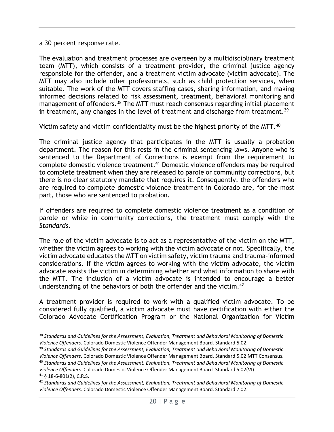a 30 percent response rate.

The evaluation and treatment processes are overseen by a multidisciplinary treatment team (MTT), which consists of a treatment provider, the criminal justice agency responsible for the offender, and a treatment victim advocate (victim advocate). The MTT may also include other professionals, such as child protection services, when suitable. The work of the MTT covers staffing cases, sharing information, and making informed decisions related to risk assessment, treatment, behavioral monitoring and management of offenders.<sup>38</sup> The MTT must reach consensus regarding initial placement in treatment, any changes in the level of treatment and discharge from treatment.<sup>39</sup>

Victim safety and victim confidentiality must be the highest priority of the MTT.<sup>40</sup>

The criminal justice agency that participates in the MTT is usually a probation department. The reason for this rests in the criminal sentencing laws. Anyone who is sentenced to the Department of Corrections is exempt from the requirement to complete domestic violence treatment.<sup>41</sup> Domestic violence offenders may be required to complete treatment when they are released to parole or community corrections, but there is no clear statutory mandate that requires it. Consequently, the offenders who are required to complete domestic violence treatment in Colorado are, for the most part, those who are sentenced to probation.

If offenders are required to complete domestic violence treatment as a condition of parole or while in community corrections, the treatment must comply with the *Standards.*

The role of the victim advocate is to act as a representative of the victim on the MTT, whether the victim agrees to working with the victim advocate or not. Specifically, the victim advocate educates the MTT on victim safety, victim trauma and trauma-informed considerations. If the victim agrees to working with the victim advocate, the victim advocate assists the victim in determining whether and what information to share with the MTT. The inclusion of a victim advocate is intended to encourage a better understanding of the behaviors of both the offender and the victim.<sup>42</sup>

A treatment provider is required to work with a qualified victim advocate. To be considered fully qualified, a victim advocate must have certification with either the Colorado Advocate Certification Program or the National Organization for Victim

<sup>38</sup> *Standards and Guidelines for the Assessment, Evaluation, Treatment and Behavioral Monitoring of Domestic Violence Offenders*. Colorado Domestic Violence Offender Management Board. Standard 5.02.

<sup>39</sup> *Standards and Guidelines for the Assessment, Evaluation, Treatment and Behavioral Monitoring of Domestic Violence Offenders*. Colorado Domestic Violence Offender Management Board. Standard 5.02 MTT Consensus. <sup>40</sup> *Standards and Guidelines for the Assessment, Evaluation, Treatment and Behavioral Monitoring of Domestic* 

*Violence Offenders*. Colorado Domestic Violence Offender Management Board. Standard 5.02(VI).

<sup>41</sup> § 18-6-801(2), C.R.S.

<sup>42</sup> *Standards and Guidelines for the Assessment, Evaluation, Treatment and Behavioral Monitoring of Domestic Violence Offenders*. Colorado Domestic Violence Offender Management Board. Standard 7.02.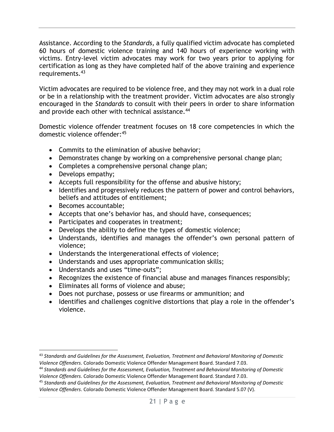Assistance. According to the *Standards,* a fully qualified victim advocate has completed 60 hours of domestic violence training and 140 hours of experience working with victims. Entry-level victim advocates may work for two years prior to applying for certification as long as they have completed half of the above training and experience requirements. 43

Victim advocates are required to be violence free, and they may not work in a dual role or be in a relationship with the treatment provider. Victim advocates are also strongly encouraged in the *Standards* to consult with their peers in order to share information and provide each other with technical assistance.<sup>44</sup>

Domestic violence offender treatment focuses on 18 core competencies in which the domestic violence offender:<sup>45</sup>

- Commits to the elimination of abusive behavior;
- Demonstrates change by working on a comprehensive personal change plan;
- Completes a comprehensive personal change plan;
- Develops empathy;
- Accepts full responsibility for the offense and abusive history;
- Identifies and progressively reduces the pattern of power and control behaviors, beliefs and attitudes of entitlement;
- Becomes accountable;
- Accepts that one's behavior has, and should have, consequences;
- Participates and cooperates in treatment;
- Develops the ability to define the types of domestic violence;
- Understands, identifies and manages the offender's own personal pattern of violence;
- Understands the intergenerational effects of violence;
- Understands and uses appropriate communication skills;
- Understands and uses "time-outs";
- Recognizes the existence of financial abuse and manages finances responsibly;
- Eliminates all forms of violence and abuse;
- Does not purchase, possess or use firearms or ammunition; and
- Identifies and challenges cognitive distortions that play a role in the offender's violence.

<sup>43</sup> *Standards and Guidelines for the Assessment, Evaluation, Treatment and Behavioral Monitoring of Domestic Violence Offenders*. Colorado Domestic Violence Offender Management Board. Standard 7.03.

<sup>44</sup> *Standards and Guidelines for the Assessment, Evaluation, Treatment and Behavioral Monitoring of Domestic Violence Offenders*. Colorado Domestic Violence Offender Management Board. Standard 7.03.

<sup>45</sup> *Standards and Guidelines for the Assessment, Evaluation, Treatment and Behavioral Monitoring of Domestic Violence Offenders*. Colorado Domestic Violence Offender Management Board. Standard 5.07 (V).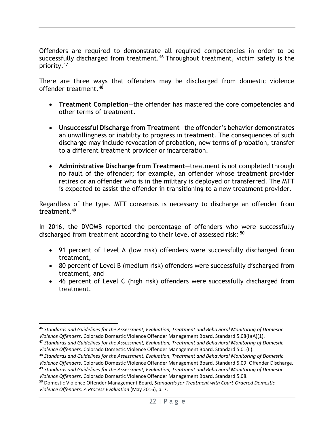Offenders are required to demonstrate all required competencies in order to be successfully discharged from treatment.<sup>46</sup> Throughout treatment, victim safety is the priority. 47

There are three ways that offenders may be discharged from domestic violence offender treatment. 48

- **Treatment Completion**—the offender has mastered the core competencies and other terms of treatment.
- **Unsuccessful Discharge from Treatment**—the offender's behavior demonstrates an unwillingness or inability to progress in treatment. The consequences of such discharge may include revocation of probation, new terms of probation, transfer to a different treatment provider or incarceration.
- **Administrative Discharge from Treatment**—treatment is not completed through no fault of the offender; for example, an offender whose treatment provider retires or an offender who is in the military is deployed or transferred. The MTT is expected to assist the offender in transitioning to a new treatment provider.

Regardless of the type, MTT consensus is necessary to discharge an offender from treatment.<sup>49</sup>

In 2016, the DVOMB reported the percentage of offenders who were successfully discharged from treatment according to their level of assessed risk: <sup>50</sup>

- 91 percent of Level A (low risk) offenders were successfully discharged from treatment,
- 80 percent of Level B (medium risk) offenders were successfully discharged from treatment, and
- 46 percent of Level C (high risk) offenders were successfully discharged from treatment.

<sup>46</sup> *Standards and Guidelines for the Assessment, Evaluation, Treatment and Behavioral Monitoring of Domestic Violence Offenders*. Colorado Domestic Violence Offender Management Board. Standard 5.08(I)(A)(1).

<sup>47</sup> *Standards and Guidelines for the Assessment, Evaluation, Treatment and Behavioral Monitoring of Domestic Violence Offenders*. Colorado Domestic Violence Offender Management Board. Standard 5.01(II).

<sup>48</sup> *Standards and Guidelines for the Assessment, Evaluation, Treatment and Behavioral Monitoring of Domestic Violence Offenders*. Colorado Domestic Violence Offender Management Board. Standard 5.09: Offender Discharge. <sup>49</sup> *Standards and Guidelines for the Assessment, Evaluation, Treatment and Behavioral Monitoring of Domestic* 

*Violence Offenders*. Colorado Domestic Violence Offender Management Board. Standard 5.08.

<sup>50</sup> Domestic Violence Offender Management Board, *Standards for Treatment with Court-Ordered Domestic Violence Offenders: A Process Evaluation* (May 2016), p. 7.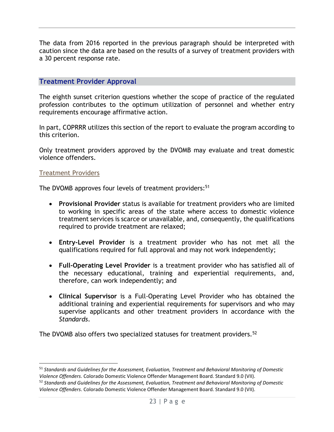The data from 2016 reported in the previous paragraph should be interpreted with caution since the data are based on the results of a survey of treatment providers with a 30 percent response rate.

#### **Treatment Provider Approval**

The eighth sunset criterion questions whether the scope of practice of the regulated profession contributes to the optimum utilization of personnel and whether entry requirements encourage affirmative action.

In part, COPRRR utilizes this section of the report to evaluate the program according to this criterion.

Only treatment providers approved by the DVOMB may evaluate and treat domestic violence offenders.

#### Treatment Providers

The DVOMB approves four levels of treatment providers:<sup>51</sup>

- **Provisional Provider** status is available for treatment providers who are limited to working in specific areas of the state where access to domestic violence treatment services is scarce or unavailable, and, consequently, the qualifications required to provide treatment are relaxed;
- **Entry-Level Provider** is a treatment provider who has not met all the qualifications required for full approval and may not work independently;
- **Full-Operating Level Provider** is a treatment provider who has satisfied all of the necessary educational, training and experiential requirements, and, therefore, can work independently; and
- **Clinical Supervisor** is a Full-Operating Level Provider who has obtained the additional training and experiential requirements for supervisors and who may supervise applicants and other treatment providers in accordance with the *Standards*.

The DVOMB also offers two specialized statuses for treatment providers.<sup>52</sup>

<sup>51</sup> *Standards and Guidelines for the Assessment, Evaluation, Treatment and Behavioral Monitoring of Domestic Violence Offenders*. Colorado Domestic Violence Offender Management Board. Standard 9.0 (VII).

<sup>52</sup> *Standards and Guidelines for the Assessment, Evaluation, Treatment and Behavioral Monitoring of Domestic Violence Offenders*. Colorado Domestic Violence Offender Management Board. Standard 9.0 (VII).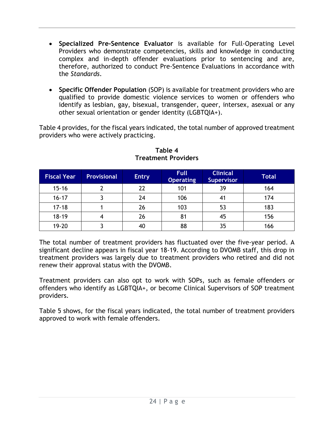- **Specialized Pre-Sentence Evaluator** is available for Full-Operating Level Providers who demonstrate competencies, skills and knowledge in conducting complex and in-depth offender evaluations prior to sentencing and are, therefore, authorized to conduct Pre-Sentence Evaluations in accordance with the *Standards*.
- **Specific Offender Population** (SOP) is available for treatment providers who are qualified to provide domestic violence services to women or offenders who identify as lesbian, gay, bisexual, transgender, queer, intersex, asexual or any other sexual orientation or gender identity (LGBTQIA+).

Table 4 provides, for the fiscal years indicated, the total number of approved treatment providers who were actively practicing.

| <b>Fiscal Year</b> | <b>Provisional</b> | <b>Entry</b> | <b>Full</b><br><b>Operating</b> | <b>Clinical</b><br><b>Supervisor</b> | <b>Total</b> |
|--------------------|--------------------|--------------|---------------------------------|--------------------------------------|--------------|
| $15 - 16$          |                    | 22           | 101                             | 39                                   | 164          |
| $16 - 17$          |                    | 24           | 106                             |                                      | 174          |
| $17 - 18$          |                    | 26           | 103                             | 53                                   | 183          |
| $18 - 19$          | 4                  | 26           | 81                              | 45                                   | 156          |
| 19-20              |                    | 40           | 88                              | 35                                   | 166          |

#### **Table 4 Treatment Providers**

The total number of treatment providers has fluctuated over the five-year period. A significant decline appears in fiscal year 18-19. According to DVOMB staff, this drop in treatment providers was largely due to treatment providers who retired and did not renew their approval status with the DVOMB.

Treatment providers can also opt to work with SOPs, such as female offenders or offenders who identify as LGBTQIA+, or become Clinical Supervisors of SOP treatment providers.

Table 5 shows, for the fiscal years indicated, the total number of treatment providers approved to work with female offenders.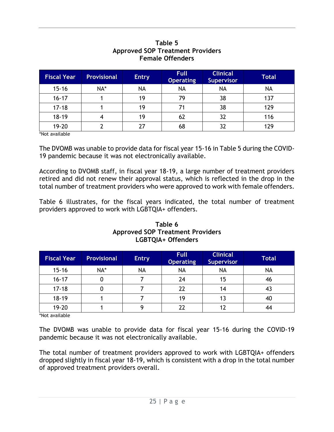#### **Fiscal Year Provisional Entry Full Operating Clinical Supervisor Total** 15-16 | NA\* | NA | NA | NA | NA 16-17 | 1 | 19 | 79 | 38 | 137 17-18 1 1 | 19 | 71 | 38 | 129 18-19 | 4 | 19 | 62 | 32 | 116 19-20 2 27 68 32 129

#### **Table 5 Approved SOP Treatment Providers Female Offenders**

\*Not available

The DVOMB was unable to provide data for fiscal year 15-16 in Table 5 during the COVID-19 pandemic because it was not electronically available.

According to DVOMB staff, in fiscal year 18-19, a large number of treatment providers retired and did not renew their approval status, which is reflected in the drop in the total number of treatment providers who were approved to work with female offenders.

Table 6 illustrates, for the fiscal years indicated, the total number of treatment providers approved to work with LGBTQIA+ offenders.

| <b>Fiscal Year</b> | <b>Provisional</b> | <b>Entry</b> | <b>Full</b><br><b>Operating</b> | <b>Clinical</b><br><b>Supervisor</b> | <b>Total</b> |
|--------------------|--------------------|--------------|---------------------------------|--------------------------------------|--------------|
| $15 - 16$          | NA*                | NA           | <b>NA</b>                       | <b>NA</b>                            | <b>NA</b>    |
| $16 - 17$          |                    |              | 24                              | 15                                   | 46           |
| $17 - 18$          |                    |              | 22                              | 14                                   | 42           |
| $18 - 19$          |                    |              | 19                              |                                      | 40           |
| $19 - 20$          |                    |              | 72                              |                                      |              |

#### **Table 6 Approved SOP Treatment Providers LGBTQIA+ Offenders**

\*Not available

The DVOMB was unable to provide data for fiscal year 15-16 during the COVID-19 pandemic because it was not electronically available.

The total number of treatment providers approved to work with LGBTQIA+ offenders dropped slightly in fiscal year 18-19, which is consistent with a drop in the total number of approved treatment providers overall.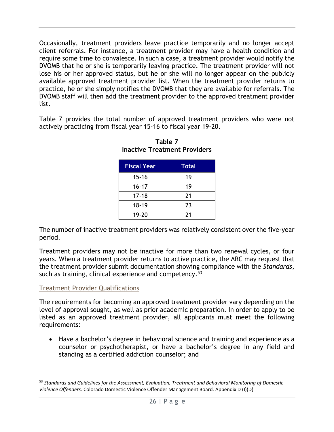Occasionally, treatment providers leave practice temporarily and no longer accept client referrals. For instance, a treatment provider may have a health condition and require some time to convalesce. In such a case, a treatment provider would notify the DVOMB that he or she is temporarily leaving practice. The treatment provider will not lose his or her approved status, but he or she will no longer appear on the publicly available approved treatment provider list. When the treatment provider returns to practice, he or she simply notifies the DVOMB that they are available for referrals. The DVOMB staff will then add the treatment provider to the approved treatment provider list.

Table 7 provides the total number of approved treatment providers who were not actively practicing from fiscal year 15-16 to fiscal year 19-20.

| <b>Fiscal Year</b> | Total |
|--------------------|-------|
| $15 - 16$          | 19    |
| $16 - 17$          | 19    |
| $17 - 18$          | 21    |
| $18 - 19$          | 23    |
| 19-20              | 21    |

**Table 7 Inactive Treatment Providers**

The number of inactive treatment providers was relatively consistent over the five-year period.

Treatment providers may not be inactive for more than two renewal cycles, or four years. When a treatment provider returns to active practice, the ARC may request that the treatment provider submit documentation showing compliance with the *Standards*, such as training, clinical experience and competency.<sup>53</sup>

#### Treatment Provider Qualifications

The requirements for becoming an approved treatment provider vary depending on the level of approval sought, as well as prior academic preparation. In order to apply to be listed as an approved treatment provider, all applicants must meet the following requirements:

• Have a bachelor's degree in behavioral science and training and experience as a counselor or psychotherapist, or have a bachelor's degree in any field and standing as a certified addiction counselor; and

<sup>53</sup> *Standards and Guidelines for the Assessment, Evaluation, Treatment and Behavioral Monitoring of Domestic Violence Offenders*. Colorado Domestic Violence Offender Management Board. Appendix D (I)(D)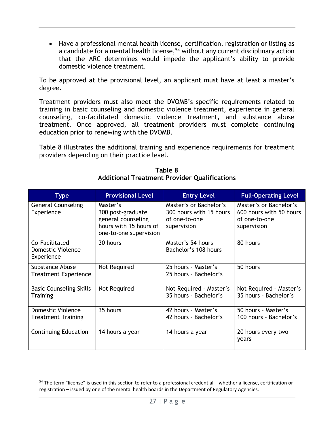• Have a professional mental health license, certification, registration or listing as a candidate for a mental health license, <sup>54</sup> without any current disciplinary action that the ARC determines would impede the applicant's ability to provide domestic violence treatment.

To be approved at the provisional level, an applicant must have at least a master's degree.

Treatment providers must also meet the DVOMB's specific requirements related to training in basic counseling and domestic violence treatment, experience in general counseling, co-facilitated domestic violence treatment, and substance abuse treatment. Once approved, all treatment providers must complete continuing education prior to renewing with the DVOMB.

Table 8 illustrates the additional training and experience requirements for treatment providers depending on their practice level.

| <b>Type</b>                                           | <b>Provisional Level</b>                                                                                | <b>Entry Level</b>                                                                | <b>Full-Operating Level</b>                                                       |
|-------------------------------------------------------|---------------------------------------------------------------------------------------------------------|-----------------------------------------------------------------------------------|-----------------------------------------------------------------------------------|
| <b>General Counseling</b><br>Experience               | Master's<br>300 post-graduate<br>general counseling<br>hours with 15 hours of<br>one-to-one supervision | Master's or Bachelor's<br>300 hours with 15 hours<br>of one-to-one<br>supervision | Master's or Bachelor's<br>600 hours with 50 hours<br>of one-to-one<br>supervision |
| Co-Facilitated<br>Domestic Violence<br>Experience     | 30 hours                                                                                                | Master's 54 hours<br>Bachelor's 108 hours                                         | 80 hours                                                                          |
| Substance Abuse<br><b>Treatment Experience</b>        | Not Required                                                                                            | 25 hours - Master's<br>25 hours - Bachelor's                                      | 50 hours                                                                          |
| <b>Basic Counseling Skills</b><br><b>Training</b>     | Not Required                                                                                            | Not Required - Master's<br>35 hours - Bachelor's                                  | Not Required - Master's<br>35 hours - Bachelor's                                  |
| <b>Domestic Violence</b><br><b>Treatment Training</b> | 35 hours                                                                                                | 42 hours - Master's<br>42 hours - Bachelor's                                      | 50 hours - Master's<br>100 hours - Bachelor's                                     |
| <b>Continuing Education</b>                           | 14 hours a year                                                                                         | 14 hours a year                                                                   | 20 hours every two<br>years                                                       |

**Table 8 Additional Treatment Provider Qualifications**

<sup>&</sup>lt;sup>54</sup> The term "license" is used in this section to refer to a professional credential – whether a license, certification or registration – issued by one of the mental health boards in the Department of Regulatory Agencies.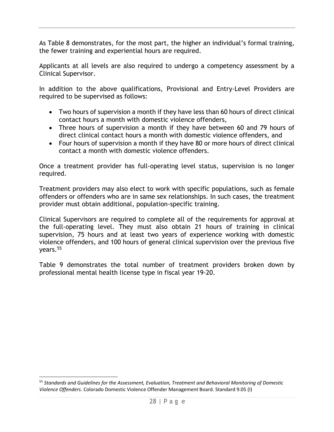As Table 8 demonstrates, for the most part, the higher an individual's formal training, the fewer training and experiential hours are required.

Applicants at all levels are also required to undergo a competency assessment by a Clinical Supervisor.

In addition to the above qualifications, Provisional and Entry-Level Providers are required to be supervised as follows:

- Two hours of supervision a month if they have less than 60 hours of direct clinical contact hours a month with domestic violence offenders,
- Three hours of supervision a month if they have between 60 and 79 hours of direct clinical contact hours a month with domestic violence offenders, and
- Four hours of supervision a month if they have 80 or more hours of direct clinical contact a month with domestic violence offenders.

Once a treatment provider has full-operating level status, supervision is no longer required.

Treatment providers may also elect to work with specific populations, such as female offenders or offenders who are in same sex relationships. In such cases, the treatment provider must obtain additional, population-specific training.

Clinical Supervisors are required to complete all of the requirements for approval at the full-operating level. They must also obtain 21 hours of training in clinical supervision, 75 hours and at least two years of experience working with domestic violence offenders, and 100 hours of general clinical supervision over the previous five vears.<sup>55</sup>

Table 9 demonstrates the total number of treatment providers broken down by professional mental health license type in fiscal year 19-20.

<sup>55</sup> *Standards and Guidelines for the Assessment, Evaluation, Treatment and Behavioral Monitoring of Domestic Violence Offenders*. Colorado Domestic Violence Offender Management Board. Standard 9.05 (I)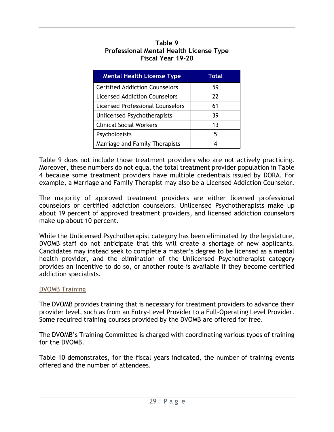#### **Table 9 Professional Mental Health License Type Fiscal Year 19-20**

| <b>Mental Health License Type</b>       | <b>Total</b> |
|-----------------------------------------|--------------|
| <b>Certified Addiction Counselors</b>   | 59           |
| Licensed Addiction Counselors           | 22           |
| <b>Licensed Professional Counselors</b> | 61           |
| Unlicensed Psychotherapists             | 39           |
| <b>Clinical Social Workers</b>          | 13           |
| Psychologists                           | 5            |
| Marriage and Family Therapists          |              |

Table 9 does not include those treatment providers who are not actively practicing. Moreover, these numbers do not equal the total treatment provider population in Table 4 because some treatment providers have multiple credentials issued by DORA. For example, a Marriage and Family Therapist may also be a Licensed Addiction Counselor.

The majority of approved treatment providers are either licensed professional counselors or certified addiction counselors. Unlicensed Psychotherapists make up about 19 percent of approved treatment providers, and licensed addiction counselors make up about 10 percent.

While the Unlicensed Psychotherapist category has been eliminated by the legislature, DVOMB staff do not anticipate that this will create a shortage of new applicants. Candidates may instead seek to complete a master's degree to be licensed as a mental health provider, and the elimination of the Unlicensed Psychotherapist category provides an incentive to do so, or another route is available if they become certified addiction specialists.

#### DVOMB Training

The DVOMB provides training that is necessary for treatment providers to advance their provider level, such as from an Entry-Level Provider to a Full-Operating Level Provider. Some required training courses provided by the DVOMB are offered for free.

The DVOMB's Training Committee is charged with coordinating various types of training for the DVOMB.

Table 10 demonstrates, for the fiscal years indicated, the number of training events offered and the number of attendees.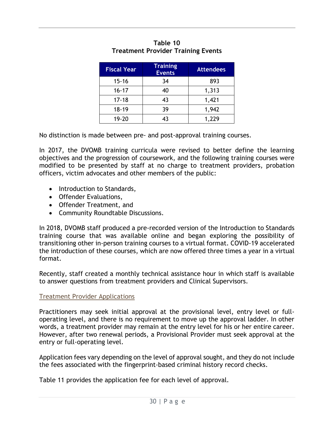| <b>Fiscal Year</b> | <b>Training</b><br><b>Events</b> | <b>Attendees</b> |
|--------------------|----------------------------------|------------------|
| $15 - 16$          | 34                               | 893              |
| $16 - 17$          | 40                               | 1,313            |
| $17 - 18$          | 43                               | 1,421            |
| $18 - 19$          | 39                               | 1,942            |
| 19-20              | 43                               | 1.229            |

#### **Table 10 Treatment Provider Training Events**

No distinction is made between pre- and post-approval training courses.

In 2017, the DVOMB training curricula were revised to better define the learning objectives and the progression of coursework, and the following training courses were modified to be presented by staff at no charge to treatment providers, probation officers, victim advocates and other members of the public:

- Introduction to Standards,
- Offender Evaluations,
- Offender Treatment, and
- Community Roundtable Discussions.

In 2018, DVOMB staff produced a pre-recorded version of the Introduction to Standards training course that was available online and began exploring the possibility of transitioning other in-person training courses to a virtual format. COVID-19 accelerated the introduction of these courses, which are now offered three times a year in a virtual format.

Recently, staff created a monthly technical assistance hour in which staff is available to answer questions from treatment providers and Clinical Supervisors.

#### Treatment Provider Applications

Practitioners may seek initial approval at the provisional level, entry level or fulloperating level, and there is no requirement to move up the approval ladder. In other words, a treatment provider may remain at the entry level for his or her entire career. However, after two renewal periods, a Provisional Provider must seek approval at the entry or full-operating level.

Application fees vary depending on the level of approval sought, and they do not include the fees associated with the fingerprint-based criminal history record checks.

Table 11 provides the application fee for each level of approval.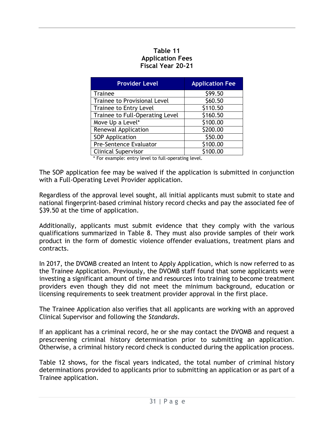#### **Table 11 Application Fees Fiscal Year 20-21**

| <b>Provider Level</b>               | <b>Application Fee</b> |
|-------------------------------------|------------------------|
| <b>Trainee</b>                      | \$99.50                |
| <b>Trainee to Provisional Level</b> | \$60.50                |
| Trainee to Entry Level              | \$110.50               |
| Trainee to Full-Operating Level     | \$160.50               |
| Move Up a Level*                    | \$100.00               |
| <b>Renewal Application</b>          | \$200.00               |
| <b>SOP Application</b>              | \$50.00                |
| Pre-Sentence Evaluator              | \$100.00               |
| <b>Clinical Supervisor</b>          | \$100.00               |

\* For example: entry level to full-operating level.

The SOP application fee may be waived if the application is submitted in conjunction with a Full-Operating Level Provider application.

Regardless of the approval level sought, all initial applicants must submit to state and national fingerprint-based criminal history record checks and pay the associated fee of \$39.50 at the time of application.

Additionally, applicants must submit evidence that they comply with the various qualifications summarized in Table 8. They must also provide samples of their work product in the form of domestic violence offender evaluations, treatment plans and contracts.

In 2017, the DVOMB created an Intent to Apply Application, which is now referred to as the Trainee Application. Previously, the DVOMB staff found that some applicants were investing a significant amount of time and resources into training to become treatment providers even though they did not meet the minimum background, education or licensing requirements to seek treatment provider approval in the first place.

The Trainee Application also verifies that all applicants are working with an approved Clinical Supervisor and following the *Standards*.

If an applicant has a criminal record, he or she may contact the DVOMB and request a prescreening criminal history determination prior to submitting an application. Otherwise, a criminal history record check is conducted during the application process.

Table 12 shows, for the fiscal years indicated, the total number of criminal history determinations provided to applicants prior to submitting an application or as part of a Trainee application.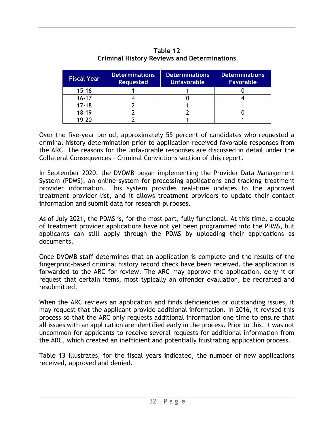| <b>Fiscal Year</b> | <b>Determinations</b><br><b>Requested</b> | <b>Determinations</b><br><b>Unfavorable</b> | <b>Determinations</b><br><b>Favorable</b> |
|--------------------|-------------------------------------------|---------------------------------------------|-------------------------------------------|
| $15 - 16$          |                                           |                                             |                                           |
| $16 - 17$          |                                           |                                             |                                           |
| $17 - 18$          |                                           |                                             |                                           |
| $18 - 19$          |                                           |                                             |                                           |
| 19.20              |                                           |                                             |                                           |

**Table 12 Criminal History Reviews and Determinations**

Over the five-year period, approximately 55 percent of candidates who requested a criminal history determination prior to application received favorable responses from the ARC. The reasons for the unfavorable responses are discussed in detail under the Collateral Consequences – Criminal Convictions section of this report.

In September 2020, the DVOMB began implementing the Provider Data Management System (PDMS), an online system for processing applications and tracking treatment provider information. This system provides real-time updates to the approved treatment provider list, and it allows treatment providers to update their contact information and submit data for research purposes.

As of July 2021, the PDMS is, for the most part, fully functional. At this time, a couple of treatment provider applications have not yet been programmed into the PDMS, but applicants can still apply through the PDMS by uploading their applications as documents.

Once DVOMB staff determines that an application is complete and the results of the fingerprint-based criminal history record check have been received, the application is forwarded to the ARC for review. The ARC may approve the application, deny it or request that certain items, most typically an offender evaluation, be redrafted and resubmitted.

When the ARC reviews an application and finds deficiencies or outstanding issues, it may request that the applicant provide additional information. In 2016, it revised this process so that the ARC only requests additional information one time to ensure that all issues with an application are identified early in the process. Prior to this, it was not uncommon for applicants to receive several requests for additional information from the ARC, which created an inefficient and potentially frustrating application process.

Table 13 illustrates, for the fiscal years indicated, the number of new applications received, approved and denied.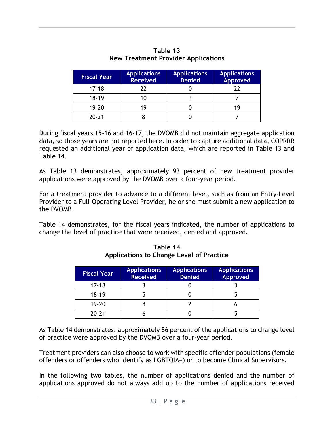| <b>Fiscal Year</b> | <b>Applications</b><br><b>Received</b> | <b>Applications</b><br><b>Denied</b> | <b>Applications</b><br><b>Approved</b> |
|--------------------|----------------------------------------|--------------------------------------|----------------------------------------|
| $17 - 18$          | 77                                     |                                      |                                        |
| $18 - 19$          | 10                                     |                                      |                                        |
| $19 - 20$          | 19                                     |                                      |                                        |
| $20 - 21$          |                                        |                                      |                                        |

**Table 13 New Treatment Provider Applications**

During fiscal years 15-16 and 16-17, the DVOMB did not maintain aggregate application data, so those years are not reported here. In order to capture additional data, COPRRR requested an additional year of application data, which are reported in Table 13 and Table 14.

As Table 13 demonstrates, approximately 93 percent of new treatment provider applications were approved by the DVOMB over a four-year period.

For a treatment provider to advance to a different level, such as from an Entry-Level Provider to a Full-Operating Level Provider, he or she must submit a new application to the DVOMB.

Table 14 demonstrates, for the fiscal years indicated, the number of applications to change the level of practice that were received, denied and approved.

| <b>Fiscal Year</b> | <b>Applications</b><br><b>Received</b> | <b>Applications</b><br><b>Denied</b> | <b>Applications</b><br><b>Approved</b> |
|--------------------|----------------------------------------|--------------------------------------|----------------------------------------|
| $17 - 18$          |                                        |                                      |                                        |
| $18-19$            |                                        |                                      |                                        |
| $19 - 20$          |                                        |                                      |                                        |
| $20 - 21$          |                                        |                                      |                                        |

**Table 14 Applications to Change Level of Practice**

As Table 14 demonstrates, approximately 86 percent of the applications to change level of practice were approved by the DVOMB over a four-year period.

Treatment providers can also choose to work with specific offender populations (female offenders or offenders who identify as LGBTQIA+) or to become Clinical Supervisors.

In the following two tables, the number of applications denied and the number of applications approved do not always add up to the number of applications received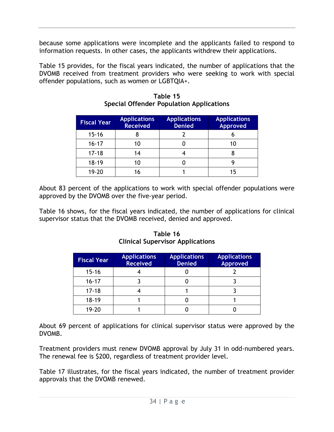because some applications were incomplete and the applicants failed to respond to information requests. In other cases, the applicants withdrew their applications.

Table 15 provides, for the fiscal years indicated, the number of applications that the DVOMB received from treatment providers who were seeking to work with special offender populations, such as women or LGBTQIA+.

| <b>Fiscal Year</b> | <b>Applications</b><br><b>Received</b> | <b>Applications</b><br><b>Denied</b> | <b>Applications</b><br><b>Approved</b> |
|--------------------|----------------------------------------|--------------------------------------|----------------------------------------|
| $15 - 16$          |                                        |                                      | O                                      |
| $16 - 17$          |                                        |                                      | 10                                     |
| $17 - 18$          | 14                                     |                                      |                                        |
| $18 - 19$          |                                        |                                      |                                        |
| 19-20              |                                        |                                      |                                        |

**Table 15 Special Offender Population Applications**

About 83 percent of the applications to work with special offender populations were approved by the DVOMB over the five-year period.

Table 16 shows, for the fiscal years indicated, the number of applications for clinical supervisor status that the DVOMB received, denied and approved.

| <b>Fiscal Year</b> | <b>Applications</b><br><b>Received</b> | <b>Applications</b><br><b>Denied</b> | <b>Applications</b><br><b>Approved</b> |
|--------------------|----------------------------------------|--------------------------------------|----------------------------------------|
| $15 - 16$          |                                        |                                      |                                        |
| $16 - 17$          |                                        |                                      |                                        |
| $17 - 18$          |                                        |                                      |                                        |
| $18 - 19$          |                                        |                                      |                                        |
| $19 - 20$          |                                        |                                      |                                        |

**Table 16 Clinical Supervisor Applications**

About 69 percent of applications for clinical supervisor status were approved by the DVOMB.

Treatment providers must renew DVOMB approval by July 31 in odd-numbered years. The renewal fee is \$200, regardless of treatment provider level.

Table 17 illustrates, for the fiscal years indicated, the number of treatment provider approvals that the DVOMB renewed.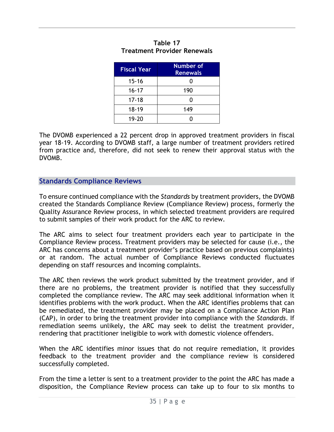| <b>Fiscal Year</b> | <b>Number of</b><br><b>Renewals</b> |
|--------------------|-------------------------------------|
| $15 - 16$          | 0                                   |
| $16 - 17$          | 190                                 |
| $17 - 18$          | Ω                                   |
| $18 - 19$          | 149                                 |
| $19 - 20$          |                                     |

#### **Table 17 Treatment Provider Renewals**

The DVOMB experienced a 22 percent drop in approved treatment providers in fiscal year 18-19. According to DVOMB staff, a large number of treatment providers retired from practice and, therefore, did not seek to renew their approval status with the DVOMB.

#### **Standards Compliance Reviews**

To ensure continued compliance with the *Standards* by treatment providers, the DVOMB created the Standards Compliance Review (Compliance Review) process, formerly the Quality Assurance Review process, in which selected treatment providers are required to submit samples of their work product for the ARC to review.

The ARC aims to select four treatment providers each year to participate in the Compliance Review process. Treatment providers may be selected for cause (i.e., the ARC has concerns about a treatment provider's practice based on previous complaints) or at random. The actual number of Compliance Reviews conducted fluctuates depending on staff resources and incoming complaints.

The ARC then reviews the work product submitted by the treatment provider, and if there are no problems, the treatment provider is notified that they successfully completed the compliance review. The ARC may seek additional information when it identifies problems with the work product. When the ARC identifies problems that can be remediated, the treatment provider may be placed on a Compliance Action Plan (CAP), in order to bring the treatment provider into compliance with the *Standards*. If remediation seems unlikely, the ARC may seek to delist the treatment provider, rendering that practitioner ineligible to work with domestic violence offenders.

When the ARC identifies minor issues that do not require remediation, it provides feedback to the treatment provider and the compliance review is considered successfully completed.

From the time a letter is sent to a treatment provider to the point the ARC has made a disposition, the Compliance Review process can take up to four to six months to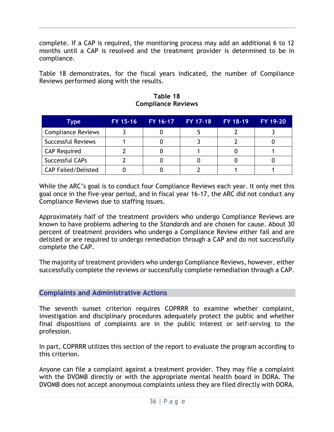complete. If a CAP is required, the monitoring process may add an additional 6 to 12 months until a CAP is resolved and the treatment provider is determined to be in compliance.

Table 18 demonstrates, for the fiscal years indicated, the number of Compliance Reviews performed along with the results.

| <b>Type</b>                | FY 15-16 | FY 16-17 | FY 17-18 | FY 18-19 | <b>FY 19-20</b> |
|----------------------------|----------|----------|----------|----------|-----------------|
| <b>Compliance Reviews</b>  |          |          |          |          |                 |
| <b>Successful Reviews</b>  |          |          |          |          |                 |
| <b>CAP Required</b>        |          |          |          |          |                 |
| Successful CAPs            |          |          |          |          |                 |
| <b>CAP Failed/Delisted</b> |          |          |          |          |                 |

**Table 18 Compliance Reviews**

While the ARC's goal is to conduct four Compliance Reviews each year. It only met this goal once in the five-year period, and in fiscal year 16-17, the ARC did not conduct any Compliance Reviews due to staffing issues.

Approximately half of the treatment providers who undergo Compliance Reviews are known to have problems adhering to the *Standards* and are chosen for cause. About 30 percent of treatment providers who undergo a Compliance Review either fail and are delisted or are required to undergo remediation through a CAP and do not successfully complete the CAP.

The majority of treatment providers who undergo Compliance Reviews, however, either successfully complete the reviews or successfully complete remediation through a CAP.

#### **Complaints and Administrative Actions**

The seventh sunset criterion requires COPRRR to examine whether complaint, investigation and disciplinary procedures adequately protect the public and whether final dispositions of complaints are in the public interest or self-serving to the profession.

In part, COPRRR utilizes this section of the report to evaluate the program according to this criterion.

Anyone can file a complaint against a treatment provider. They may file a complaint with the DVOMB directly or with the appropriate mental health board in DORA. The DVOMB does not accept anonymous complaints unless they are filed directly with DORA.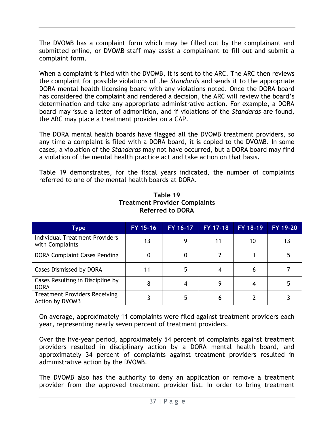The DVOMB has a complaint form which may be filled out by the complainant and submitted online, or DVOMB staff may assist a complainant to fill out and submit a complaint form.

When a complaint is filed with the DVOMB, it is sent to the ARC. The ARC then reviews the complaint for possible violations of the *Standards* and sends it to the appropriate DORA mental health licensing board with any violations noted. Once the DORA board has considered the complaint and rendered a decision, the ARC will review the board's determination and take any appropriate administrative action. For example, a DORA board may issue a letter of admonition, and if violations of the *Standards* are found, the ARC may place a treatment provider on a CAP.

The DORA mental health boards have flagged all the DVOMB treatment providers, so any time a complaint is filed with a DORA board, it is copied to the DVOMB. In some cases, a violation of the *Standards* may not have occurred, but a DORA board may find a violation of the mental health practice act and take action on that basis.

Table 19 demonstrates, for the fiscal years indicated, the number of complaints referred to one of the mental health boards at DORA.

| <b>Type</b>                                              | FY 15-16 | FY 16-17 | FY 17-18 | FY 18-19 | FY 19-20 |
|----------------------------------------------------------|----------|----------|----------|----------|----------|
| <b>Individual Treatment Providers</b><br>with Complaints | 13       | 9        |          | 10       |          |
| <b>DORA Complaint Cases Pending</b>                      |          |          |          |          |          |
| Cases Dismissed by DORA                                  |          | 5        |          |          |          |
| Cases Resulting in Discipline by<br><b>DORA</b>          | 8        |          |          |          |          |
| <b>Treatment Providers Receiving</b><br>Action by DVOMB  |          | 5        |          |          |          |

**Table 19 Treatment Provider Complaints Referred to DORA**

On average, approximately 11 complaints were filed against treatment providers each year, representing nearly seven percent of treatment providers.

Over the five-year period, approximately 54 percent of complaints against treatment providers resulted in disciplinary action by a DORA mental health board, and approximately 34 percent of complaints against treatment providers resulted in administrative action by the DVOMB.

The DVOMB also has the authority to deny an application or remove a treatment provider from the approved treatment provider list. In order to bring treatment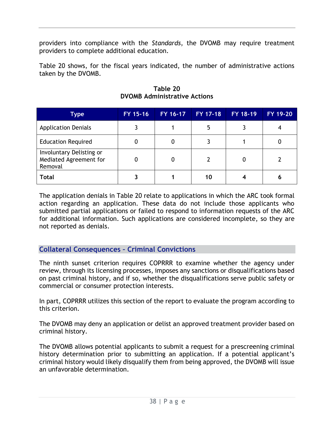providers into compliance with the *Standards*, the DVOMB may require treatment providers to complete additional education.

Table 20 shows, for the fiscal years indicated, the number of administrative actions taken by the DVOMB.

| Type                                                          | FY 15-16 | FY 16-17 | FY 17-18 | FY 18-19 | FY 19-20 |
|---------------------------------------------------------------|----------|----------|----------|----------|----------|
| <b>Application Denials</b>                                    |          |          |          |          |          |
| <b>Education Required</b>                                     | 0        |          |          |          |          |
| Involuntary Delisting or<br>Mediated Agreement for<br>Removal | 0        |          |          |          |          |
| <b>Total</b>                                                  |          |          | 10       |          |          |

**Table 20 DVOMB Administrative Actions**

The application denials in Table 20 relate to applications in which the ARC took formal action regarding an application. These data do not include those applicants who submitted partial applications or failed to respond to information requests of the ARC for additional information. Such applications are considered incomplete, so they are not reported as denials.

**Collateral Consequences – Criminal Convictions**

The ninth sunset criterion requires COPRRR to examine whether the agency under review, through its licensing processes, imposes any sanctions or disqualifications based on past criminal history, and if so, whether the disqualifications serve public safety or commercial or consumer protection interests.

In part, COPRRR utilizes this section of the report to evaluate the program according to this criterion.

The DVOMB may deny an application or delist an approved treatment provider based on criminal history.

The DVOMB allows potential applicants to submit a request for a prescreening criminal history determination prior to submitting an application. If a potential applicant's criminal history would likely disqualify them from being approved, the DVOMB will issue an unfavorable determination.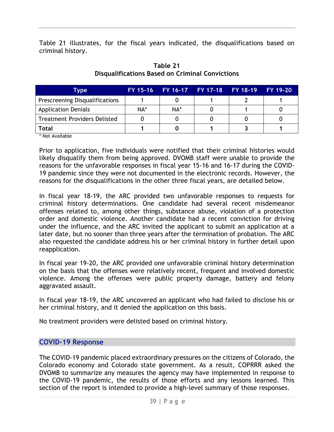Table 21 illustrates, for the fiscal years indicated, the disqualifications based on criminal history.

| Type                                  | FY 15-16 | FY 16-17 FY 17-18 FY 18-19 FY 19-20 |  |  |
|---------------------------------------|----------|-------------------------------------|--|--|
| <b>Prescreening Disqualifications</b> |          |                                     |  |  |
| <b>Application Denials</b>            | NA*      | NA*                                 |  |  |
| <b>Treatment Providers Delisted</b>   |          |                                     |  |  |
| Total                                 |          |                                     |  |  |

#### **Table 21 Disqualifications Based on Criminal Convictions**

\* Not Available

Prior to application, five individuals were notified that their criminal histories would likely disqualify them from being approved. DVOMB staff were unable to provide the reasons for the unfavorable responses in fiscal year 15-16 and 16-17 during the COVID-19 pandemic since they were not documented in the electronic records. However, the reasons for the disqualifications in the other three fiscal years, are detailed below.

In fiscal year 18-19, the ARC provided two unfavorable responses to requests for criminal history determinations. One candidate had several recent misdemeanor offenses related to, among other things, substance abuse, violation of a protection order and domestic violence. Another candidate had a recent conviction for driving under the influence, and the ARC invited the applicant to submit an application at a later date, but no sooner than three years after the termination of probation. The ARC also requested the candidate address his or her criminal history in further detail upon reapplication.

In fiscal year 19-20, the ARC provided one unfavorable criminal history determination on the basis that the offenses were relatively recent, frequent and involved domestic violence. Among the offenses were public property damage, battery and felony aggravated assault.

In fiscal year 18-19, the ARC uncovered an applicant who had failed to disclose his or her criminal history, and it denied the application on this basis.

No treatment providers were delisted based on criminal history.

#### **COVID-19 Response**

The COVID-19 pandemic placed extraordinary pressures on the citizens of Colorado, the Colorado economy and Colorado state government. As a result, COPRRR asked the DVOMB to summarize any measures the agency may have implemented in response to the COVID-19 pandemic, the results of those efforts and any lessons learned. This section of the report is intended to provide a high-level summary of those responses.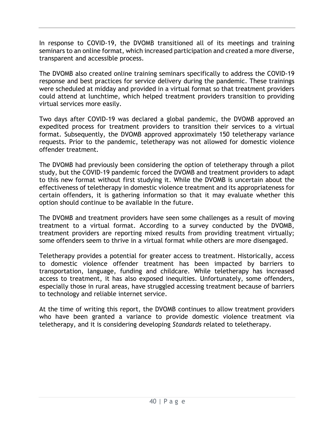In response to COVID-19, the DVOMB transitioned all of its meetings and training seminars to an online format, which increased participation and created a more diverse, transparent and accessible process.

The DVOMB also created online training seminars specifically to address the COVID-19 response and best practices for service delivery during the pandemic. These trainings were scheduled at midday and provided in a virtual format so that treatment providers could attend at lunchtime, which helped treatment providers transition to providing virtual services more easily.

Two days after COVID-19 was declared a global pandemic, the DVOMB approved an expedited process for treatment providers to transition their services to a virtual format. Subsequently, the DVOMB approved approximately 150 teletherapy variance requests. Prior to the pandemic, teletherapy was not allowed for domestic violence offender treatment*.*

The DVOMB had previously been considering the option of teletherapy through a pilot study, but the COVID-19 pandemic forced the DVOMB and treatment providers to adapt to this new format without first studying it. While the DVOMB is uncertain about the effectiveness of teletherapy in domestic violence treatment and its appropriateness for certain offenders, it is gathering information so that it may evaluate whether this option should continue to be available in the future.

The DVOMB and treatment providers have seen some challenges as a result of moving treatment to a virtual format. According to a survey conducted by the DVOMB, treatment providers are reporting mixed results from providing treatment virtually; some offenders seem to thrive in a virtual format while others are more disengaged.

Teletherapy provides a potential for greater access to treatment. Historically, access to domestic violence offender treatment has been impacted by barriers to transportation, language, funding and childcare. While teletherapy has increased access to treatment, it has also exposed inequities. Unfortunately, some offenders, especially those in rural areas, have struggled accessing treatment because of barriers to technology and reliable internet service.

At the time of writing this report, the DVOMB continues to allow treatment providers who have been granted a variance to provide domestic violence treatment via teletherapy, and it is considering developing *Standards* related to teletherapy.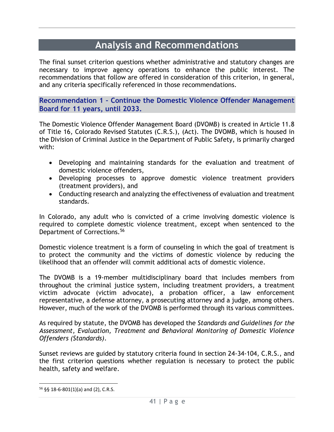## **Analysis and Recommendations**

The final sunset criterion questions whether administrative and statutory changes are necessary to improve agency operations to enhance the public interest. The recommendations that follow are offered in consideration of this criterion, in general, and any criteria specifically referenced in those recommendations.

**Recommendation 1 – Continue the Domestic Violence Offender Management Board for 11 years, until 2033.**

The Domestic Violence Offender Management Board (DVOMB) is created in Article 11.8 of Title 16, Colorado Revised Statutes (C.R.S.), (Act). The DVOMB, which is housed in the Division of Criminal Justice in the Department of Public Safety, is primarily charged with:

- Developing and maintaining standards for the evaluation and treatment of domestic violence offenders,
- Developing processes to approve domestic violence treatment providers (treatment providers), and
- Conducting research and analyzing the effectiveness of evaluation and treatment standards.

In Colorado, any adult who is convicted of a crime involving domestic violence is required to complete domestic violence treatment, except when sentenced to the Department of Corrections.<sup>56</sup>

Domestic violence treatment is a form of counseling in which the goal of treatment is to protect the community and the victims of domestic violence by reducing the likelihood that an offender will commit additional acts of domestic violence.

The DVOMB is a 19-member multidisciplinary board that includes members from throughout the criminal justice system, including treatment providers, a treatment victim advocate (victim advocate), a probation officer, a law enforcement representative, a defense attorney, a prosecuting attorney and a judge, among others. However, much of the work of the DVOMB is performed through its various committees.

As required by statute, the DVOMB has developed the *Standards and Guidelines for the Assessment, Evaluation, Treatment and Behavioral Monitoring of Domestic Violence Offenders (Standards)*.

Sunset reviews are guided by statutory criteria found in section 24-34-104, C.R.S., and the first criterion questions whether regulation is necessary to protect the public health, safety and welfare.

<sup>56</sup> §§ 18-6-801(1)(a) and (2), C.R.S.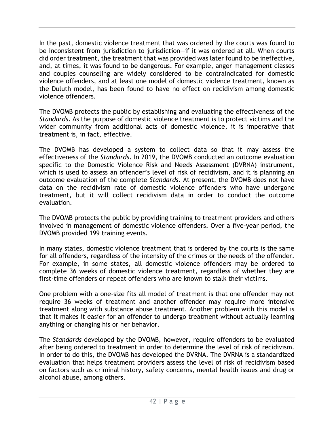In the past, domestic violence treatment that was ordered by the courts was found to be inconsistent from jurisdiction to jurisdiction—if it was ordered at all. When courts did order treatment, the treatment that was provided was later found to be ineffective, and, at times, it was found to be dangerous. For example, anger management classes and couples counseling are widely considered to be contraindicated for domestic violence offenders, and at least one model of domestic violence treatment, known as the Duluth model, has been found to have no effect on recidivism among domestic violence offenders.

The DVOMB protects the public by establishing and evaluating the effectiveness of the *Standards*. As the purpose of domestic violence treatment is to protect victims and the wider community from additional acts of domestic violence, it is imperative that treatment is, in fact, effective.

The DVOMB has developed a system to collect data so that it may assess the effectiveness of the *Standards*. In 2019, the DVOMB conducted an outcome evaluation specific to the Domestic Violence Risk and Needs Assessment (DVRNA) instrument, which is used to assess an offender's level of risk of recidivism, and it is planning an outcome evaluation of the complete *Standards*. At present, the DVOMB does not have data on the recidivism rate of domestic violence offenders who have undergone treatment, but it will collect recidivism data in order to conduct the outcome evaluation*.* 

The DVOMB protects the public by providing training to treatment providers and others involved in management of domestic violence offenders. Over a five-year period, the DVOMB provided 199 training events.

In many states, domestic violence treatment that is ordered by the courts is the same for all offenders, regardless of the intensity of the crimes or the needs of the offender. For example, in some states, all domestic violence offenders may be ordered to complete 36 weeks of domestic violence treatment, regardless of whether they are first-time offenders or repeat offenders who are known to stalk their victims.

One problem with a one-size fits all model of treatment is that one offender may not require 36 weeks of treatment and another offender may require more intensive treatment along with substance abuse treatment. Another problem with this model is that it makes it easier for an offender to undergo treatment without actually learning anything or changing his or her behavior.

The *Standards* developed by the DVOMB, however, require offenders to be evaluated after being ordered to treatment in order to determine the level of risk of recidivism. In order to do this, the DVOMB has developed the DVRNA. The DVRNA is a standardized evaluation that helps treatment providers assess the level of risk of recidivism based on factors such as criminal history, safety concerns, mental health issues and drug or alcohol abuse, among others.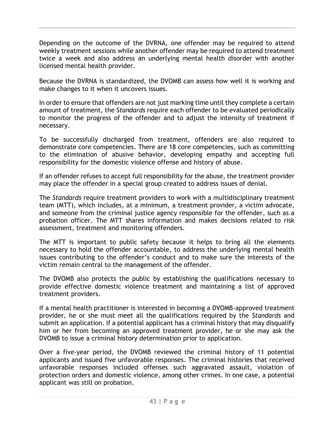Depending on the outcome of the DVRNA, one offender may be required to attend weekly treatment sessions while another offender may be required to attend treatment twice a week and also address an underlying mental health disorder with another licensed mental health provider.

Because the DVRNA is standardized, the DVOMB can assess how well it is working and make changes to it when it uncovers issues.

In order to ensure that offenders are not just marking time until they complete a certain amount of treatment, the *Standards* require each offender to be evaluated periodically to monitor the progress of the offender and to adjust the intensity of treatment if necessary.

To be successfully discharged from treatment, offenders are also required to demonstrate core competencies. There are 18 core competencies, such as committing to the elimination of abusive behavior, developing empathy and accepting full responsibility for the domestic violence offense and history of abuse.

If an offender refuses to accept full responsibility for the abuse, the treatment provider may place the offender in a special group created to address issues of denial.

The *Standards* require treatment providers to work with a multidisciplinary treatment team (MTT), which includes, at a minimum, a treatment provider, a victim advocate, and someone from the criminal justice agency responsible for the offender, such as a probation officer. The MTT shares information and makes decisions related to risk assessment, treatment and monitoring offenders.

The MTT is important to public safety because it helps to bring all the elements necessary to hold the offender accountable, to address the underlying mental health issues contributing to the offender's conduct and to make sure the interests of the victim remain central to the management of the offender.

The DVOMB also protects the public by establishing the qualifications necessary to provide effective domestic violence treatment and maintaining a list of approved treatment providers.

If a mental health practitioner is interested in becoming a DVOMB-approved treatment provider, he or she must meet all the qualifications required by the *Standards* and submit an application. If a potential applicant has a criminal history that may disqualify him or her from becoming an approved treatment provider, he or she may ask the DVOMB to issue a criminal history determination prior to application.

Over a five-year period, the DVOMB reviewed the criminal history of 11 potential applicants and issued five unfavorable responses. The criminal histories that received unfavorable responses included offenses such aggravated assault, violation of protection orders and domestic violence, among other crimes. In one case, a potential applicant was still on probation.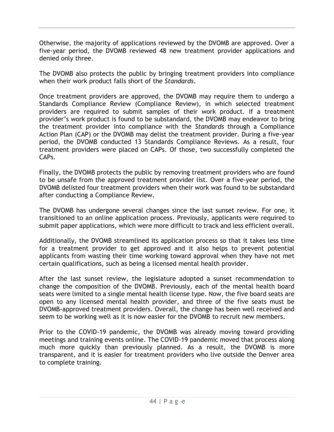Otherwise, the majority of applications reviewed by the DVOMB are approved. Over a five-year period, the DVOMB reviewed 48 new treatment provider applications and denied only three.

The DVOMB also protects the public by bringing treatment providers into compliance when their work product falls short of the *Standards*.

Once treatment providers are approved, the DVOMB may require them to undergo a Standards Compliance Review (Compliance Review), in which selected treatment providers are required to submit samples of their work product. If a treatment provider's work product is found to be substandard, the DVOMB may endeavor to bring the treatment provider into compliance with the *Standards* through a Compliance Action Plan (CAP) or the DVOMB may delist the treatment provider. During a five-year period, the DVOMB conducted 13 Standards Compliance Reviews. As a result, four treatment providers were placed on CAPs. Of those, two successfully completed the CAPs.

Finally, the DVOMB protects the public by removing treatment providers who are found to be unsafe from the approved treatment provider list. Over a five-year period, the DVOMB delisted four treatment providers when their work was found to be substandard after conducting a Compliance Review.

The DVOMB has undergone several changes since the last sunset review. For one, it transitioned to an online application process. Previously, applicants were required to submit paper applications, which were more difficult to track and less efficient overall.

Additionally, the DVOMB streamlined its application process so that it takes less time for a treatment provider to get approved and it also helps to prevent potential applicants from wasting their time working toward approval when they have not met certain qualifications, such as being a licensed mental health provider.

After the last sunset review, the legislature adopted a sunset recommendation to change the composition of the DVOMB. Previously, each of the mental health board seats were limited to a single mental health license type. Now, the five board seats are open to any licensed mental health provider, and three of the five seats must be DVOMB-approved treatment providers. Overall, the change has been well received and seem to be working well as it is now easier for the DVOMB to recruit new members.

Prior to the COVID-19 pandemic, the DVOMB was already moving toward providing meetings and training events online. The COVID-19 pandemic moved that process along much more quickly than previously planned. As a result, the DVOMB is more transparent, and it is easier for treatment providers who live outside the Denver area to complete training.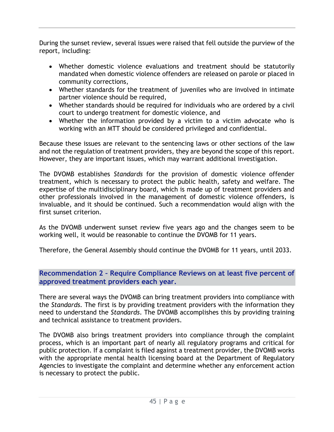During the sunset review, several issues were raised that fell outside the purview of the report, including:

- Whether domestic violence evaluations and treatment should be statutorily mandated when domestic violence offenders are released on parole or placed in community corrections,
- Whether standards for the treatment of juveniles who are involved in intimate partner violence should be required,
- Whether standards should be required for individuals who are ordered by a civil court to undergo treatment for domestic violence, and
- Whether the information provided by a victim to a victim advocate who is working with an MTT should be considered privileged and confidential.

Because these issues are relevant to the sentencing laws or other sections of the law and not the regulation of treatment providers, they are beyond the scope of this report. However, they are important issues, which may warrant additional investigation.

The DVOMB establishes *Standards* for the provision of domestic violence offender treatment, which is necessary to protect the public health, safety and welfare. The expertise of the multidisciplinary board, which is made up of treatment providers and other professionals involved in the management of domestic violence offenders, is invaluable, and it should be continued. Such a recommendation would align with the first sunset criterion.

As the DVOMB underwent sunset review five years ago and the changes seem to be working well, it would be reasonable to continue the DVOMB for 11 years.

Therefore, the General Assembly should continue the DVOMB for 11 years, until 2033.

**Recommendation 2 – Require Compliance Reviews on at least five percent of approved treatment providers each year.**

There are several ways the DVOMB can bring treatment providers into compliance with the *Standards.* The first is by providing treatment providers with the information they need to understand the *Standards*. The DVOMB accomplishes this by providing training and technical assistance to treatment providers.

The DVOMB also brings treatment providers into compliance through the complaint process, which is an important part of nearly all regulatory programs and critical for public protection. If a complaint is filed against a treatment provider, the DVOMB works with the appropriate mental health licensing board at the Department of Regulatory Agencies to investigate the complaint and determine whether any enforcement action is necessary to protect the public.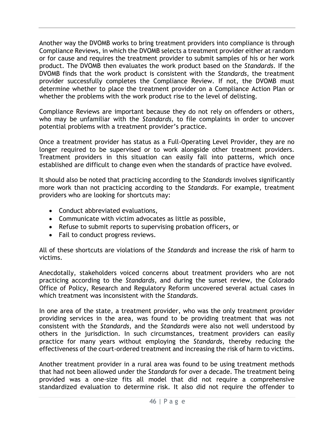Another way the DVOMB works to bring treatment providers into compliance is through Compliance Reviews, in which the DVOMB selects a treatment provider either at random or for cause and requires the treatment provider to submit samples of his or her work product. The DVOMB then evaluates the work product based on the *Standards*. If the DVOMB finds that the work product is consistent with the *Standards*, the treatment provider successfully completes the Compliance Review. If not, the DVOMB must determine whether to place the treatment provider on a Compliance Action Plan or whether the problems with the work product rise to the level of delisting.

Compliance Reviews are important because they do not rely on offenders or others, who may be unfamiliar with the *Standards,* to file complaints in order to uncover potential problems with a treatment provider's practice.

Once a treatment provider has status as a Full-Operating Level Provider, they are no longer required to be supervised or to work alongside other treatment providers. Treatment providers in this situation can easily fall into patterns, which once established are difficult to change even when the standards of practice have evolved.

It should also be noted that practicing according to the *Standards* involves significantly more work than not practicing according to the *Standards*. For example, treatment providers who are looking for shortcuts may:

- Conduct abbreviated evaluations,
- Communicate with victim advocates as little as possible,
- Refuse to submit reports to supervising probation officers, or
- Fail to conduct progress reviews.

All of these shortcuts are violations of the *Standards* and increase the risk of harm to victims.

Anecdotally, stakeholders voiced concerns about treatment providers who are not practicing according to the *Standards*, and during the sunset review, the Colorado Office of Policy, Research and Regulatory Reform uncovered several actual cases in which treatment was inconsistent with the *Standards.*

In one area of the state, a treatment provider, who was the only treatment provider providing services in the area, was found to be providing treatment that was not consistent with the *Standards*, and the *Standards* were also not well understood by others in the jurisdiction. In such circumstances, treatment providers can easily practice for many years without employing the *Standards,* thereby reducing the effectiveness of the court-ordered treatment and increasing the risk of harm to victims.

Another treatment provider in a rural area was found to be using treatment methods that had not been allowed under the *Standards* for over a decade. The treatment being provided was a one-size fits all model that did not require a comprehensive standardized evaluation to determine risk. It also did not require the offender to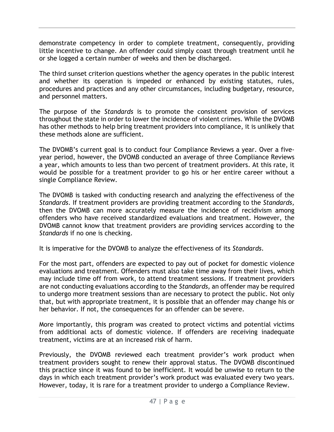demonstrate competency in order to complete treatment, consequently, providing little incentive to change. An offender could simply coast through treatment until he or she logged a certain number of weeks and then be discharged.

The third sunset criterion questions whether the agency operates in the public interest and whether its operation is impeded or enhanced by existing statutes, rules, procedures and practices and any other circumstances, including budgetary, resource, and personnel matters.

The purpose of the *Standards* is to promote the consistent provision of services throughout the state in order to lower the incidence of violent crimes. While the DVOMB has other methods to help bring treatment providers into compliance, it is unlikely that these methods alone are sufficient.

The DVOMB's current goal is to conduct four Compliance Reviews a year. Over a fiveyear period, however, the DVOMB conducted an average of three Compliance Reviews a year, which amounts to less than two percent of treatment providers. At this rate, it would be possible for a treatment provider to go his or her entire career without a single Compliance Review.

The DVOMB is tasked with conducting research and analyzing the effectiveness of the *Standards*. If treatment providers are providing treatment according to the *Standards,* then the DVOMB can more accurately measure the incidence of recidivism among offenders who have received standardized evaluations and treatment. However, the DVOMB cannot know that treatment providers are providing services according to the *Standards* if no one is checking.

It is imperative for the DVOMB to analyze the effectiveness of its *Standards*.

For the most part, offenders are expected to pay out of pocket for domestic violence evaluations and treatment. Offenders must also take time away from their lives, which may include time off from work, to attend treatment sessions. If treatment providers are not conducting evaluations according to the *Standards,* an offender may be required to undergo more treatment sessions than are necessary to protect the public. Not only that, but with appropriate treatment, it is possible that an offender may change his or her behavior. If not, the consequences for an offender can be severe.

More importantly, this program was created to protect victims and potential victims from additional acts of domestic violence. If offenders are receiving inadequate treatment, victims are at an increased risk of harm.

Previously, the DVOMB reviewed each treatment provider's work product when treatment providers sought to renew their approval status. The DVOMB discontinued this practice since it was found to be inefficient. It would be unwise to return to the days in which each treatment provider's work product was evaluated every two years. However, today, it is rare for a treatment provider to undergo a Compliance Review.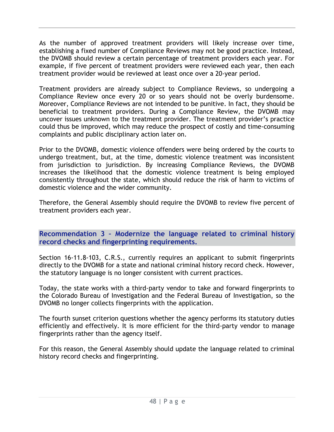As the number of approved treatment providers will likely increase over time, establishing a fixed number of Compliance Reviews may not be good practice. Instead, the DVOMB should review a certain percentage of treatment providers each year. For example, if five percent of treatment providers were reviewed each year, then each treatment provider would be reviewed at least once over a 20-year period.

Treatment providers are already subject to Compliance Reviews, so undergoing a Compliance Review once every 20 or so years should not be overly burdensome. Moreover, Compliance Reviews are not intended to be punitive. In fact, they should be beneficial to treatment providers. During a Compliance Review, the DVOMB may uncover issues unknown to the treatment provider. The treatment provider's practice could thus be improved, which may reduce the prospect of costly and time-consuming complaints and public disciplinary action later on.

Prior to the DVOMB, domestic violence offenders were being ordered by the courts to undergo treatment, but, at the time, domestic violence treatment was inconsistent from jurisdiction to jurisdiction. By increasing Compliance Reviews, the DVOMB increases the likelihood that the domestic violence treatment is being employed consistently throughout the state, which should reduce the risk of harm to victims of domestic violence and the wider community.

Therefore, the General Assembly should require the DVOMB to review five percent of treatment providers each year.

**Recommendation 3 – Modernize the language related to criminal history record checks and fingerprinting requirements.**

Section 16-11.8-103, C.R.S., currently requires an applicant to submit fingerprints directly to the DVOMB for a state and national criminal history record check. However, the statutory language is no longer consistent with current practices.

Today, the state works with a third-party vendor to take and forward fingerprints to the Colorado Bureau of Investigation and the Federal Bureau of Investigation, so the DVOMB no longer collects fingerprints with the application.

The fourth sunset criterion questions whether the agency performs its statutory duties efficiently and effectively. It is more efficient for the third-party vendor to manage fingerprints rather than the agency itself.

For this reason, the General Assembly should update the language related to criminal history record checks and fingerprinting.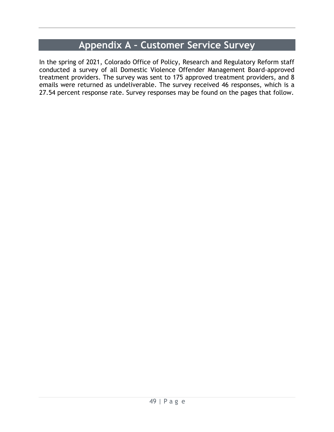## **Appendix A – Customer Service Survey**

In the spring of 2021, Colorado Office of Policy, Research and Regulatory Reform staff conducted a survey of all Domestic Violence Offender Management Board-approved treatment providers. The survey was sent to 175 approved treatment providers, and 8 emails were returned as undeliverable. The survey received 46 responses, which is a 27.54 percent response rate. Survey responses may be found on the pages that follow.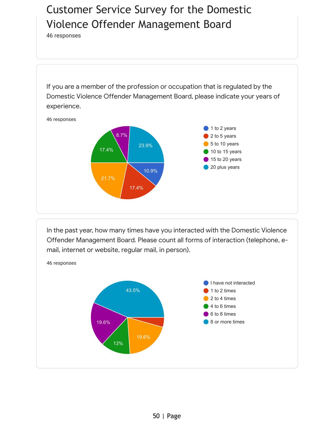# Customer Service Survey for the Domestic Violence Offender Management Board

[46 responses](https://docs.google.com/forms/d/1VMQLW_w6gUVcNay9IQL6ItufTfLpg8DTnyQJWNPhAuQ/edit?usp=redirect_edit_m2#start=publishanalytics)

If you are a member of the profession or occupation that is regulated by the Domestic Violence Offender Management Board, please indicate your years of experience.



In the past year, how many times have you interacted with the Domestic Violence Offender Management Board. Please count all forms of interaction (telephone, email, internet or website, regular mail, in person).

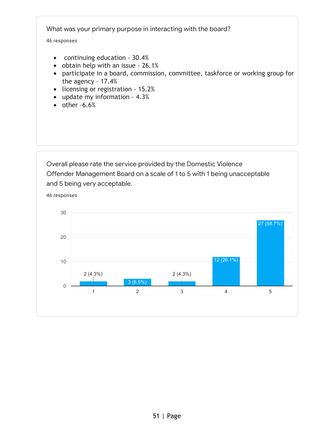What was your primary purpose in interacting with the board?

46 responses

46 responses

- continuing education 30.4%
- obtain help with an issue 26.1%
- participate in a board, commission, committee, taskforce or working group for the agency - 17.4%
- licensing or registration 15.2%
- update my information 4.3%
- $\bullet$  other  $-6.6\%$

Overall please rate the service provided by the Domestic Violence Offender Management Board on a scale of 1 to 5 with 1 being unacceptable and 5 being very acceptable.

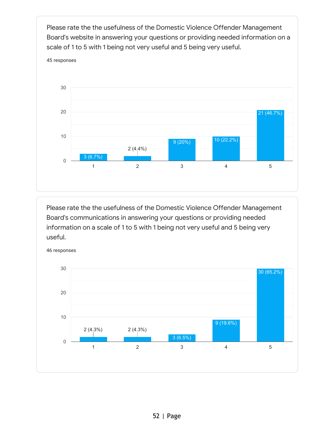Please rate the the usefulness of the Domestic Violence Offender Management Board's website in answering your questions or providing needed information on a scale of 1 to 5 with 1 being not very useful and 5 being very useful.



Please rate the the usefulness of the Domestic Violence Offender Management Board's communications in answering your questions or providing needed information on a scale of 1 to 5 with 1 being not very useful and 5 being very useful.



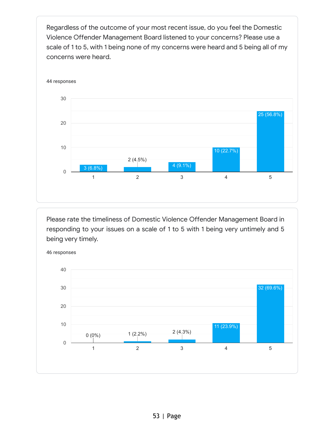Regardless of the outcome of your most recent issue, do you feel the Domestic Violence Offender Management Board listened to your concerns? Please use a scale of 1 to 5, with 1 being none of my concerns were heard and 5 being all of my concerns were heard.



Please rate the timeliness of Domestic Violence Offender Management Board in responding to your issues on a scale of 1 to 5 with 1 being very untimely and 5 being very timely.



53 | Page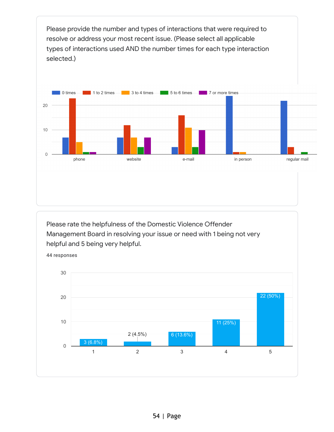Please provide the number and types of interactions that were required to resolve or address your most recent issue. (Please select all applicable types of interactions used AND the number times for each type interaction selected.)



Please rate the helpfulness of the Domestic Violence Offender Management Board in resolving your issue or need with 1 being not very helpful and 5 being very helpful.